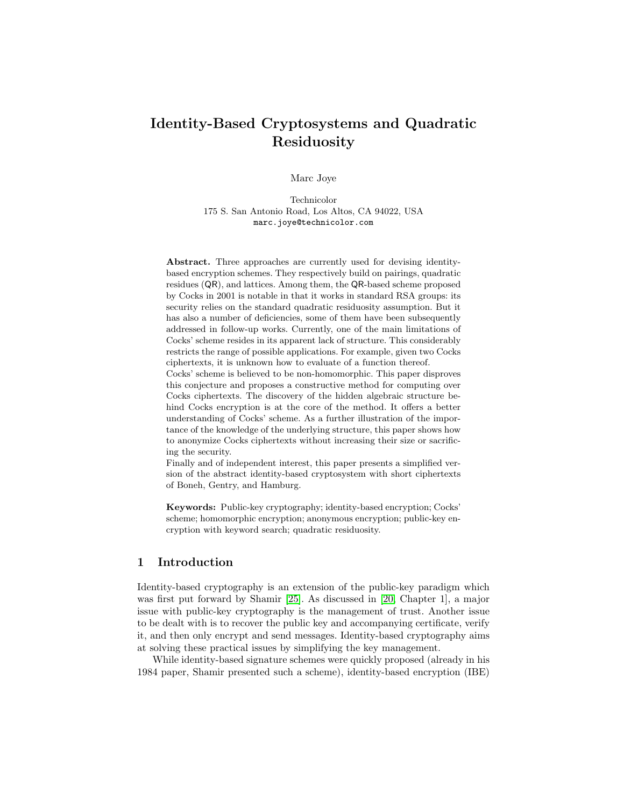# Identity-Based Cryptosystems and Quadratic Residuosity

Marc Joye

Technicolor 175 S. San Antonio Road, Los Altos, CA 94022, USA marc.joye@technicolor.com

Abstract. Three approaches are currently used for devising identitybased encryption schemes. They respectively build on pairings, quadratic residues (QR), and lattices. Among them, the QR-based scheme proposed by Cocks in 2001 is notable in that it works in standard RSA groups: its security relies on the standard quadratic residuosity assumption. But it has also a number of deficiencies, some of them have been subsequently addressed in follow-up works. Currently, one of the main limitations of Cocks' scheme resides in its apparent lack of structure. This considerably restricts the range of possible applications. For example, given two Cocks ciphertexts, it is unknown how to evaluate of a function thereof.

Cocks' scheme is believed to be non-homomorphic. This paper disproves this conjecture and proposes a constructive method for computing over Cocks ciphertexts. The discovery of the hidden algebraic structure behind Cocks encryption is at the core of the method. It offers a better understanding of Cocks' scheme. As a further illustration of the importance of the knowledge of the underlying structure, this paper shows how to anonymize Cocks ciphertexts without increasing their size or sacrificing the security.

Finally and of independent interest, this paper presents a simplified version of the abstract identity-based cryptosystem with short ciphertexts of Boneh, Gentry, and Hamburg.

Keywords: Public-key cryptography; identity-based encryption; Cocks' scheme; homomorphic encryption; anonymous encryption; public-key encryption with keyword search; quadratic residuosity.

### 1 Introduction

Identity-based cryptography is an extension of the public-key paradigm which was first put forward by Shamir [\[25\]](#page-19-0). As discussed in [\[20,](#page-19-1) Chapter 1], a major issue with public-key cryptography is the management of trust. Another issue to be dealt with is to recover the public key and accompanying certificate, verify it, and then only encrypt and send messages. Identity-based cryptography aims at solving these practical issues by simplifying the key management.

While identity-based signature schemes were quickly proposed (already in his 1984 paper, Shamir presented such a scheme), identity-based encryption (IBE)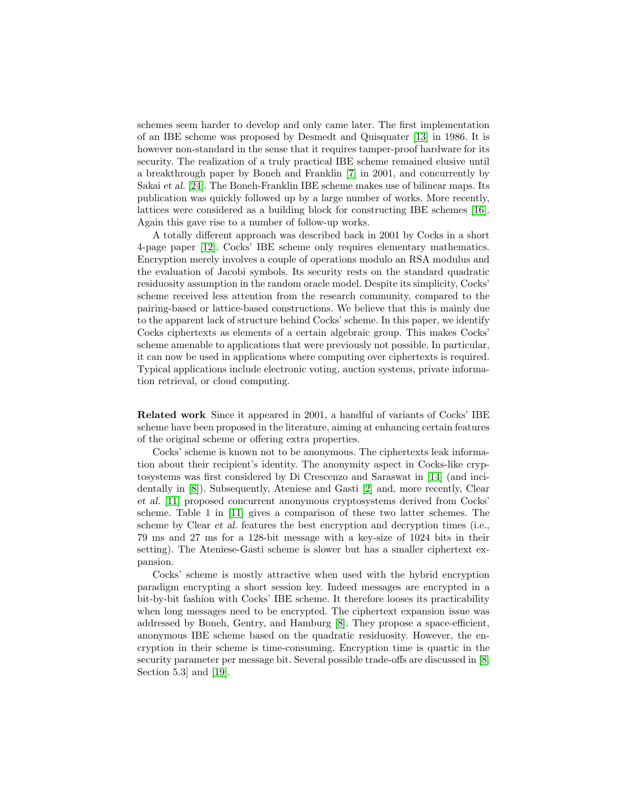schemes seem harder to develop and only came later. The first implementation of an IBE scheme was proposed by Desmedt and Quisquater [\[13\]](#page-18-0) in 1986. It is however non-standard in the sense that it requires tamper-proof hardware for its security. The realization of a truly practical IBE scheme remained elusive until a breakthrough paper by Boneh and Franklin [\[7\]](#page-18-1) in 2001, and concurrently by Sakai et al. [\[24\]](#page-19-2). The Boneh-Franklin IBE scheme makes use of bilinear maps. Its publication was quickly followed up by a large number of works. More recently, lattices were considered as a building block for constructing IBE schemes [\[16\]](#page-19-3). Again this gave rise to a number of follow-up works.

A totally different approach was described back in 2001 by Cocks in a short 4-page paper [\[12\]](#page-18-2). Cocks' IBE scheme only requires elementary mathematics. Encryption merely involves a couple of operations modulo an RSA modulus and the evaluation of Jacobi symbols. Its security rests on the standard quadratic residuosity assumption in the random oracle model. Despite its simplicity, Cocks' scheme received less attention from the research community, compared to the pairing-based or lattice-based constructions. We believe that this is mainly due to the apparent lack of structure behind Cocks' scheme. In this paper, we identify Cocks ciphertexts as elements of a certain algebraic group. This makes Cocks' scheme amenable to applications that were previously not possible. In particular, it can now be used in applications where computing over ciphertexts is required. Typical applications include electronic voting, auction systems, private information retrieval, or cloud computing.

Related work Since it appeared in 2001, a handful of variants of Cocks' IBE scheme have been proposed in the literature, aiming at enhancing certain features of the original scheme or offering extra properties.

Cocks' scheme is known not to be anonymous. The ciphertexts leak information about their recipient's identity. The anonymity aspect in Cocks-like cryptosystems was first considered by Di Crescenzo and Saraswat in [\[14\]](#page-18-3) (and incidentally in [\[8\]](#page-18-4)). Subsequently, Ateniese and Gasti [\[2\]](#page-18-5) and, more recently, Clear et al. [\[11\]](#page-18-6) proposed concurrent anonymous cryptosystems derived from Cocks' scheme. Table 1 in [\[11\]](#page-18-6) gives a comparison of these two latter schemes. The scheme by Clear et al. features the best encryption and decryption times (i.e., 79 ms and 27 ms for a 128-bit message with a key-size of 1024 bits in their setting). The Ateniese-Gasti scheme is slower but has a smaller ciphertext expansion.

Cocks' scheme is mostly attractive when used with the hybrid encryption paradigm encrypting a short session key. Indeed messages are encrypted in a bit-by-bit fashion with Cocks' IBE scheme. It therefore looses its practicability when long messages need to be encrypted. The ciphertext expansion issue was addressed by Boneh, Gentry, and Hamburg [\[8\]](#page-18-4). They propose a space-efficient, anonymous IBE scheme based on the quadratic residuosity. However, the encryption in their scheme is time-consuming. Encryption time is quartic in the security parameter per message bit. Several possible trade-offs are discussed in [\[8,](#page-18-4) Section 5.3] and [\[19\]](#page-19-4).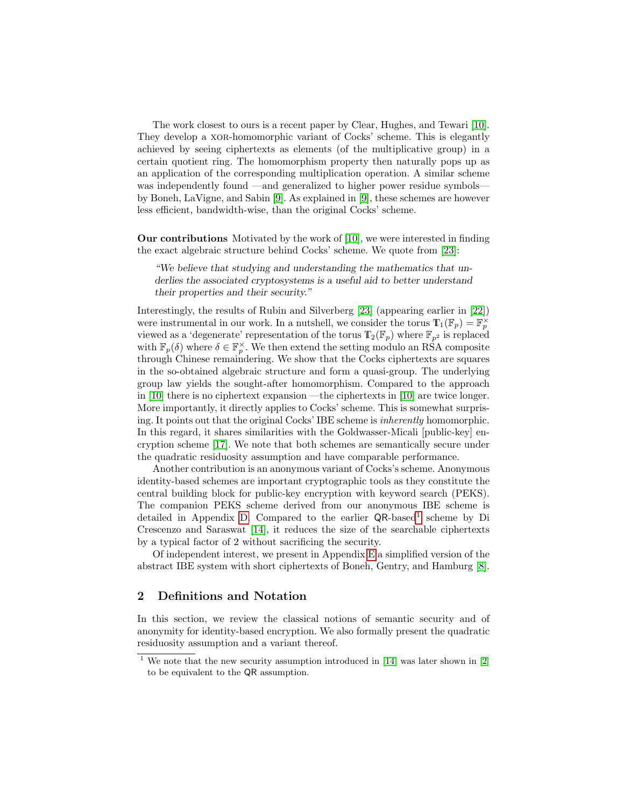The work closest to ours is a recent paper by Clear, Hughes, and Tewari [\[10\]](#page-18-7). They develop a xor-homomorphic variant of Cocks' scheme. This is elegantly achieved by seeing ciphertexts as elements (of the multiplicative group) in a certain quotient ring. The homomorphism property then naturally pops up as an application of the corresponding multiplication operation. A similar scheme was independently found —and generalized to higher power residue symbolsby Boneh, LaVigne, and Sabin [\[9\]](#page-18-8). As explained in [\[9\]](#page-18-8), these schemes are however less efficient, bandwidth-wise, than the original Cocks' scheme.

Our contributions Motivated by the work of [\[10\]](#page-18-7), we were interested in finding the exact algebraic structure behind Cocks' scheme. We quote from [\[23\]](#page-19-5):

"We believe that studying and understanding the mathematics that underlies the associated cryptosystems is a useful aid to better understand their properties and their security."

Interestingly, the results of Rubin and Silverberg [\[23\]](#page-19-5) (appearing earlier in [\[22\]](#page-19-6)) were instrumental in our work. In a nutshell, we consider the torus  $T_1(\mathbb{F}_p) = \mathbb{F}_p^{\times}$ viewed as a 'degenerate' representation of the torus  $T_2(\mathbb{F}_p)$  where  $\mathbb{F}_{p^2}$  is replaced with  $\mathbb{F}_p(\delta)$  where  $\delta \in \mathbb{F}_p^{\times}$ . We then extend the setting modulo an RSA composite through Chinese remaindering. We show that the Cocks ciphertexts are squares in the so-obtained algebraic structure and form a quasi-group. The underlying group law yields the sought-after homomorphism. Compared to the approach in [\[10\]](#page-18-7) there is no ciphertext expansion —the ciphertexts in [\[10\]](#page-18-7) are twice longer. More importantly, it directly applies to Cocks' scheme. This is somewhat surprising. It points out that the original Cocks' IBE scheme is inherently homomorphic. In this regard, it shares similarities with the Goldwasser-Micali [public-key] encryption scheme [\[17\]](#page-19-7). We note that both schemes are semantically secure under the quadratic residuosity assumption and have comparable performance.

Another contribution is an anonymous variant of Cocks's scheme. Anonymous identity-based schemes are important cryptographic tools as they constitute the central building block for public-key encryption with keyword search (PEKS). The companion PEKS scheme derived from our anonymous IBE scheme is detailed in Appendix [D.](#page-24-0) Compared to the earlier QR-based<sup>[1](#page-2-0)</sup> scheme by Di Crescenzo and Saraswat [\[14\]](#page-18-3), it reduces the size of the searchable ciphertexts by a typical factor of 2 without sacrificing the security.

Of independent interest, we present in Appendix [E](#page-27-0) a simplified version of the abstract IBE system with short ciphertexts of Boneh, Gentry, and Hamburg [\[8\]](#page-18-4).

# 2 Definitions and Notation

In this section, we review the classical notions of semantic security and of anonymity for identity-based encryption. We also formally present the quadratic residuosity assumption and a variant thereof.

<span id="page-2-0"></span><sup>&</sup>lt;sup>1</sup> We note that the new security assumption introduced in [\[14\]](#page-18-3) was later shown in [\[2\]](#page-18-5) to be equivalent to the QR assumption.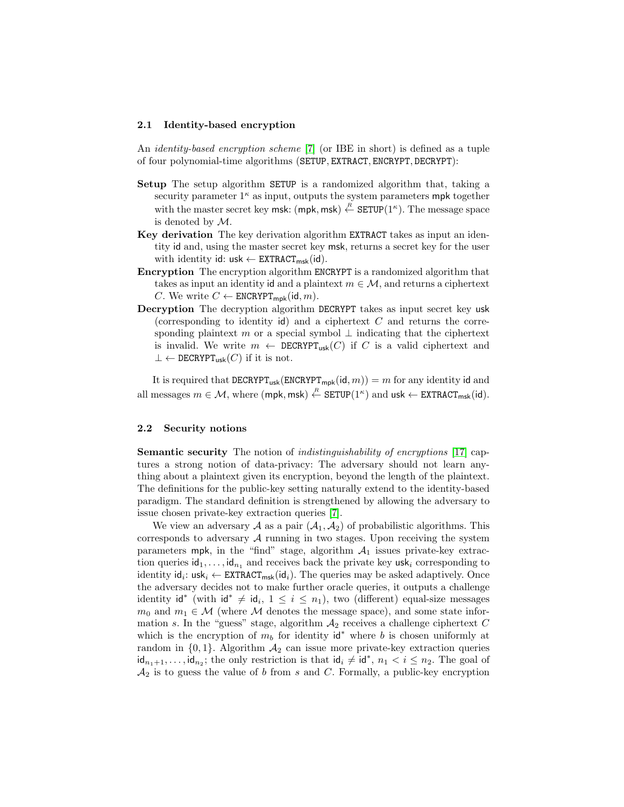#### 2.1 Identity-based encryption

An identity-based encryption scheme [\[7\]](#page-18-1) (or IBE in short) is defined as a tuple of four polynomial-time algorithms (SETUP, EXTRACT, ENCRYPT, DECRYPT):

- Setup The setup algorithm SETUP is a randomized algorithm that, taking a security parameter  $1^{\kappa}$  as input, outputs the system parameters mpk together with the master secret key msk:  $(\text{mpk}, \text{msk}) \overset{R}{\leftarrow} \text{SETUP}(1^{\kappa})$ . The message space is denoted by M.
- Key derivation The key derivation algorithm EXTRACT takes as input an identity id and, using the master secret key msk, returns a secret key for the user with identity id: usk  $\leftarrow$  EXTRACT<sub>msk</sub>(id).
- Encryption The encryption algorithm ENCRYPT is a randomized algorithm that takes as input an identity id and a plaintext  $m \in \mathcal{M}$ , and returns a ciphertext C. We write  $C \leftarrow \text{ENCRYPT}_{\text{mpk}}(\text{id}, m)$ .
- Decryption The decryption algorithm DECRYPT takes as input secret key usk (corresponding to identity id) and a ciphertext C and returns the corresponding plaintext m or a special symbol  $\perp$  indicating that the ciphertext is invalid. We write  $m \leftarrow \text{DECRYPT}_{usk}(C)$  if C is a valid ciphertext and  $\bot \leftarrow$  DECRYPT<sub>usk</sub> $(C)$  if it is not.

It is required that DECRYPT<sub>usk</sub>(ENCRYPT<sub>mpk</sub>(id, m)) = m for any identity id and all messages  $m \in \mathcal{M}$ , where  $(\text{mpk}, \text{msk}) \overset{R}{\leftarrow} \text{SETUP}(1^{\kappa})$  and  $\text{usk} \leftarrow \text{EXTRACT}_{\text{msk}}(\text{id}).$ 

### <span id="page-3-0"></span>2.2 Security notions

Semantic security The notion of indistinguishability of encryptions [\[17\]](#page-19-7) captures a strong notion of data-privacy: The adversary should not learn anything about a plaintext given its encryption, beyond the length of the plaintext. The definitions for the public-key setting naturally extend to the identity-based paradigm. The standard definition is strengthened by allowing the adversary to issue chosen private-key extraction queries [\[7\]](#page-18-1).

We view an adversary A as a pair  $(A_1, A_2)$  of probabilistic algorithms. This corresponds to adversary  $A$  running in two stages. Upon receiving the system parameters mpk, in the "find" stage, algorithm  $A_1$  issues private-key extraction queries  $id_1, \ldots, id_{n_1}$  and receives back the private key usk<sub>i</sub> corresponding to identity  $id_i: \text{usk}_i \leftarrow \text{EXTRACT}_{\text{msk}}(id_i)$ . The queries may be asked adaptively. Once the adversary decides not to make further oracle queries, it outputs a challenge identity  $\mathsf{id}^*$  (with  $\mathsf{id}^* \neq \mathsf{id}_i$ ,  $1 \leq i \leq n_1$ ), two (different) equal-size messages  $m_0$  and  $m_1 \in \mathcal{M}$  (where  $\mathcal M$  denotes the message space), and some state information s. In the "guess" stage, algorithm  $A_2$  receives a challenge ciphertext C which is the encryption of  $m_b$  for identity id<sup>\*</sup> where b is chosen uniformly at random in  $\{0, 1\}$ . Algorithm  $\mathcal{A}_2$  can issue more private-key extraction queries  $id_{n_1+1}, \ldots, id_{n_2}$ ; the only restriction is that  $id_i \neq id^*, n_1 < i \leq n_2$ . The goal of  $A_2$  is to guess the value of b from s and C. Formally, a public-key encryption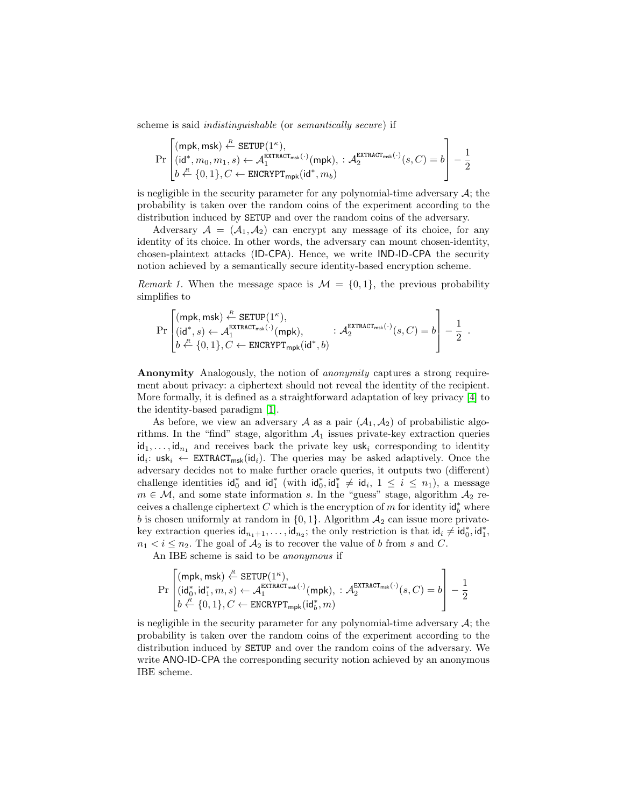scheme is said indistinguishable (or semantically secure) if

$$
\Pr\left[\begin{matrix}(\mathsf{mpk},\mathsf{msk}) \xleftarrow{R} \mathsf{SETUP}(1^\kappa), \\ (\mathsf{id}^*,m_0,m_1,s) \leftarrow \mathcal{A}_1^{\mathsf{EXTRACT}_{\mathsf{msk}}(\cdot)}(\mathsf{mpk}), \ \colon \mathcal{A}_2^{\mathsf{EXTRACT}_{\mathsf{msk}}(\cdot)}(s,C) = b \\ b \xleftarrow{R} \{0,1\}, C \leftarrow \mathsf{ENCRYPT}_{\mathsf{mpk}}(\mathsf{id}^*,m_b)\end{matrix}\right.\right.\\
$$

is negligible in the security parameter for any polynomial-time adversary  $\mathcal{A}$ ; the probability is taken over the random coins of the experiment according to the distribution induced by SETUP and over the random coins of the adversary.

Adversary  $A = (A_1, A_2)$  can encrypt any message of its choice, for any identity of its choice. In other words, the adversary can mount chosen-identity, chosen-plaintext attacks (ID-CPA). Hence, we write IND-ID-CPA the security notion achieved by a semantically secure identity-based encryption scheme.

Remark 1. When the message space is  $\mathcal{M} = \{0, 1\}$ , the previous probability simplifies to

$$
\Pr\left[\begin{matrix}(\mathsf{mpk},\mathsf{msk}) \overset{\mathcal{R}}{\leftarrow} \mathrm{SETUP}(1^\kappa), \\(\mathsf{id}^*,s) \leftarrow \mathcal{A}_1^{\mathrm{EXTRACT_{msk}(\cdot)}}(\mathsf{mpk}), \qquad \qquad : \mathcal{A}_2^{\mathrm{EXTRACT_{msk}(\cdot)}}(s,C) = b \\ b \overset{\mathcal{R}}{\leftarrow} \{0,1\}, C \leftarrow \mathrm{ENCRYPT_{mpk}}(\mathsf{id}^*,b)\end{matrix}\right. : \mathcal{A}_2^{\mathrm{EXTRACT_{msk}(\cdot)}}(s,C) = b\right] - \frac{1}{2} \enspace .
$$

Anonymity Analogously, the notion of anonymity captures a strong requirement about privacy: a ciphertext should not reveal the identity of the recipient. More formally, it is defined as a straightforward adaptation of key privacy [\[4\]](#page-18-9) to the identity-based paradigm [\[1\]](#page-18-10).

As before, we view an adversary A as a pair  $(A_1, A_2)$  of probabilistic algorithms. In the "find" stage, algorithm  $A_1$  issues private-key extraction queries  $id_1, \ldots, id_{n_1}$  and receives back the private key usk<sub>i</sub> corresponding to identity  $\mathsf{id}_i$ : usk<sub>i</sub>  $\leftarrow$  EXTRACT<sub>msk</sub>(id<sub>i</sub>). The queries may be asked adaptively. Once the adversary decides not to make further oracle queries, it outputs two (different) challenge identities  $\mathsf{id}_{0}^*$  and  $\mathsf{id}_{1}^*$  (with  $\mathsf{id}_{0}^*, \mathsf{id}_{1}^* \neq \mathsf{id}_{i}, 1 \leq i \leq n_1$ ), a message  $m \in \mathcal{M}$ , and some state information s. In the "guess" stage, algorithm  $\mathcal{A}_2$  receives a challenge ciphertext C which is the encryption of  $m$  for identity  $\mathsf{id}^*_b$  where b is chosen uniformly at random in  $\{0, 1\}$ . Algorithm  $\mathcal{A}_2$  can issue more privatekey extraction queries  $id_{n_1+1}, \ldots, id_{n_2}$ ; the only restriction is that  $id_i \neq id_0^*$ ,  $id_1^*$ ,  $n_1 < i \leq n_2$ . The goal of  $\mathcal{A}_2$  is to recover the value of b from s and C.

An IBE scheme is said to be anonymous if

$$
\Pr\left[\begin{matrix}(\mathsf{mpk},\mathsf{msk}) \xleftarrow{R} \mathsf{SETUP}(1^\kappa), \\ (\mathsf{id}_0^*,\mathsf{id}_1^*,m,s) \xleftarrow{} \mathcal{A}_1^{\mathsf{EXTRACT}_{\mathsf{msk}}(\cdot)}(\mathsf{mpk}), \ \colon \mathcal{A}_2^{\mathsf{EXTRACT}_{\mathsf{msk}}(\cdot)}(s,C) = b \\ b \xleftarrow{R} \{0,1\},C \xleftarrow{} \mathsf{ENCRYPT}_{\mathsf{mpk}}(\mathsf{id}_b^*,m)\end{matrix}\right.\right.\\
$$

is negligible in the security parameter for any polynomial-time adversary  $\mathcal{A}$ ; the probability is taken over the random coins of the experiment according to the distribution induced by SETUP and over the random coins of the adversary. We write ANO-ID-CPA the corresponding security notion achieved by an anonymous IBE scheme.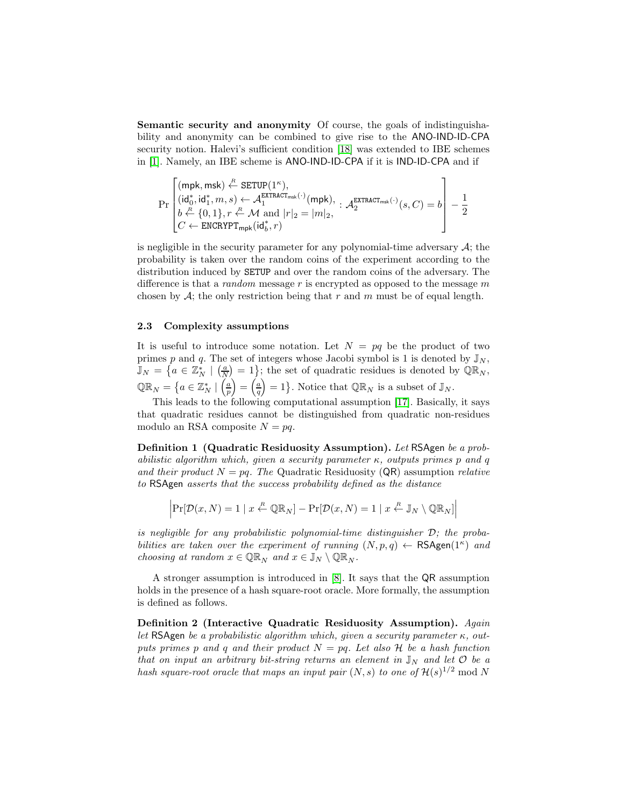Semantic security and anonymity Of course, the goals of indistinguishability and anonymity can be combined to give rise to the ANO-IND-ID-CPA security notion. Halevi's sufficient condition [\[18\]](#page-19-8) was extended to IBE schemes in [\[1\]](#page-18-10). Namely, an IBE scheme is ANO-IND-ID-CPA if it is IND-ID-CPA and if

$$
\Pr\begin{bmatrix}(\mathsf{mpk},\mathsf{msk}) \xleftarrow{R} \texttt{SETUP}(1^{\kappa}), \\ (\mathsf{id}_0^*,\mathsf{id}_1^*,m,s) \leftarrow \mathcal{A}_1^{\texttt{EXTRACT}_{\textsf{msk}}(\cdot)}(\mathsf{mpk}), \\ b \xleftarrow{R} \{0,1\}, r \xleftarrow{R} \mathcal{M} \text{ and } |r|_2 = |m|_2, \\ C \leftarrow \texttt{ENCRYPT}_{\mathsf{mpk}}(\mathsf{id}_b^*,r)\end{bmatrix} \mathcal{A}_2^{\texttt{EXTRACT}_{\textsf{msk}}(\cdot)}(s,C) = b \end{bmatrix} - \frac{1}{2}
$$

is negligible in the security parameter for any polynomial-time adversary  $\mathcal{A}$ ; the probability is taken over the random coins of the experiment according to the distribution induced by SETUP and over the random coins of the adversary. The difference is that a *random* message  $r$  is encrypted as opposed to the message  $m$ chosen by  $\mathcal{A}$ ; the only restriction being that r and m must be of equal length.

### 2.3 Complexity assumptions

It is useful to introduce some notation. Let  $N = pq$  be the product of two primes p and q. The set of integers whose Jacobi symbol is 1 is denoted by  $\mathbb{J}_N$ ,  $\mathbb{J}_N = \left\{ a \in \mathbb{Z}_N^* \mid \left( \frac{a}{N} \right) = 1 \right\};\$  the set of quadratic residues is denoted by  $\mathbb{QR}_N$ ,  $\mathbb{QR}_N = \left\{ a \in \mathbb{Z}_N^* \mid \left( \frac{a}{p} \right) = \left( \frac{a}{q} \right) = 1 \right\}.$  Notice that  $\mathbb{QR}_N$  is a subset of  $\mathbb{J}_N$ .

This leads to the following computational assumption [\[17\]](#page-19-7). Basically, it says that quadratic residues cannot be distinguished from quadratic non-residues modulo an RSA composite  $N = pq$ .

Definition 1 (Quadratic Residuosity Assumption). Let RSAgen be a probabilistic algorithm which, given a security parameter  $\kappa$ , outputs primes p and q and their product  $N = pq$ . The Quadratic Residuosity (QR) assumption relative to RSAgen asserts that the success probability defined as the distance

$$
\left|\Pr[\mathcal{D}(x,N) = 1 \mid x \stackrel{R}{\leftarrow} \mathbb{Q}\mathbb{R}_N] - \Pr[\mathcal{D}(x,N) = 1 \mid x \stackrel{R}{\leftarrow} \mathbb{J}_N \setminus \mathbb{Q}\mathbb{R}_N]\right|\right|
$$

is negligible for any probabilistic polynomial-time distinguisher  $D$ ; the probabilities are taken over the experiment of running  $(N, p, q) \leftarrow \mathsf{RSAgen}(1^{\kappa})$  and choosing at random  $x \in \mathbb{QR}_N$  and  $x \in \mathbb{J}_N \setminus \mathbb{QR}_N$ .

A stronger assumption is introduced in [\[8\]](#page-18-4). It says that the QR assumption holds in the presence of a hash square-root oracle. More formally, the assumption is defined as follows.

Definition 2 (Interactive Quadratic Residuosity Assumption). Again let RSAgen be a probabilistic algorithm which, given a security parameter  $\kappa$ , outputs primes p and q and their product  $N = pq$ . Let also H be a hash function that on input an arbitrary bit-string returns an element in  $\mathbb{J}_N$  and let  $\mathcal O$  be a hash square-root oracle that maps an input pair  $(N, s)$  to one of  $\mathcal{H}(s)^{1/2}$  mod N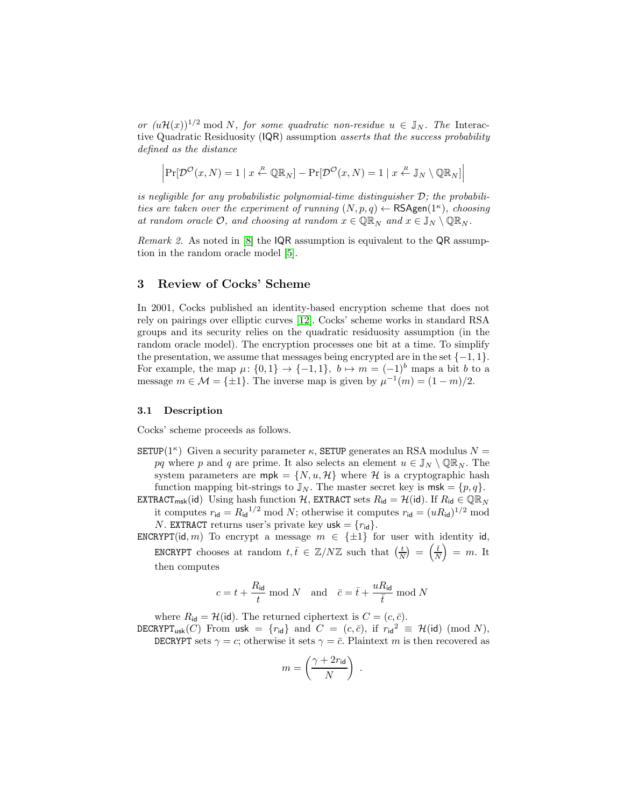or  $(u\mathcal{H}(x))^{1/2}$  mod N, for some quadratic non-residue  $u \in \mathbb{J}_N$ . The Interactive Quadratic Residuosity (IQR) assumption asserts that the success probability defined as the distance

$$
\left|\Pr[\mathcal{D}^{\mathcal{O}}(x,N) = 1 \mid x \stackrel{R}{\leftarrow} \mathbb{Q}\mathbb{R}_N] - \Pr[\mathcal{D}^{\mathcal{O}}(x,N) = 1 \mid x \stackrel{R}{\leftarrow} \mathbb{J}_N \setminus \mathbb{Q}\mathbb{R}_N]\right|\right|
$$

is negligible for any probabilistic polynomial-time distinguisher  $D$ ; the probabilities are taken over the experiment of running  $(N, p, q) \leftarrow \mathsf{RSAgen}(1^{\kappa})$ , choosing at random oracle  $\mathcal{O}$ , and choosing at random  $x \in \mathbb{QR}_N$  and  $x \in \mathbb{J}_N \setminus \mathbb{QR}_N$ .

<span id="page-6-0"></span>Remark 2. As noted in [\[8\]](#page-18-4) the IQR assumption is equivalent to the QR assumption in the random oracle model [\[5\]](#page-18-11).

### <span id="page-6-2"></span>3 Review of Cocks' Scheme

In 2001, Cocks published an identity-based encryption scheme that does not rely on pairings over elliptic curves [\[12\]](#page-18-2). Cocks' scheme works in standard RSA groups and its security relies on the quadratic residuosity assumption (in the random oracle model). The encryption processes one bit at a time. To simplify the presentation, we assume that messages being encrypted are in the set  $\{-1, 1\}$ . For example, the map  $\mu: \{0,1\} \to \{-1,1\}$ ,  $b \mapsto m = (-1)^b$  maps a bit b to a message  $m \in \mathcal{M} = \{\pm 1\}$ . The inverse map is given by  $\mu^{-1}(m) = (1 - m)/2$ .

#### <span id="page-6-1"></span>3.1 Description

Cocks' scheme proceeds as follows.

SETUP( $1^{\kappa}$ ) Given a security parameter  $\kappa$ , SETUP generates an RSA modulus  $N =$ pq where p and q are prime. It also selects an element  $u \in \mathbb{J}_N \setminus \mathbb{QR}_N$ . The system parameters are  $mpk = \{N, u, H\}$  where H is a cryptographic hash function mapping bit-strings to  $\mathbb{J}_N$ . The master secret key is  $\mathsf{msk} = \{p, q\}.$ 

 $\texttt{EXTRACT}_{\textsf{msk}}(\mathsf{id})$  Using hash function  $\mathcal{H}$ ,  $\texttt{EXTRACT}$  sets  $R_{\mathsf{id}} = \mathcal{H}(\mathsf{id})$ . If  $R_{\mathsf{id}} \in \mathbb{Q} \mathbb{R}_N$ it computes  $r_{\mathsf{id}} = R_{\mathsf{id}}^{1/2} \text{ mod } N$ ; otherwise it computes  $r_{\mathsf{id}} = (uR_{\mathsf{id}})^{1/2} \text{ mod } N$ N. EXTRACT returns user's private key usk =  $\{r_{\text{id}}\}.$ 

ENCRYPT(id, m) To encrypt a message  $m \in {\pm 1}$  for user with identity id, ENCRYPT chooses at random  $t, \bar{t} \in \mathbb{Z}/N\mathbb{Z}$  such that  $\left(\frac{t}{N}\right) = \left(\frac{\bar{t}}{N}\right) = m$ . It then computes

$$
c = t + \frac{R_{\text{id}}}{t} \mod N
$$
 and  $\bar{c} = \bar{t} + \frac{uR_{\text{id}}}{\bar{t}} \mod N$ 

where  $R_{\text{id}} = \mathcal{H}(\text{id})$ . The returned ciphertext is  $C = (c, \bar{c})$ . DECRYPT<sub>usk</sub>(C) From usk = { $r_{\text{id}}$ } and  $C = (c, \bar{c})$ , if  $r_{\text{id}}^2 \equiv \mathcal{H}(\text{id}) \pmod{N}$ , **DECRYPT** sets  $\gamma = c$ ; otherwise it sets  $\gamma = \bar{c}$ . Plaintext m is then recovered as

$$
m = \left(\frac{\gamma + 2r_{\rm id}}{N}\right)
$$

.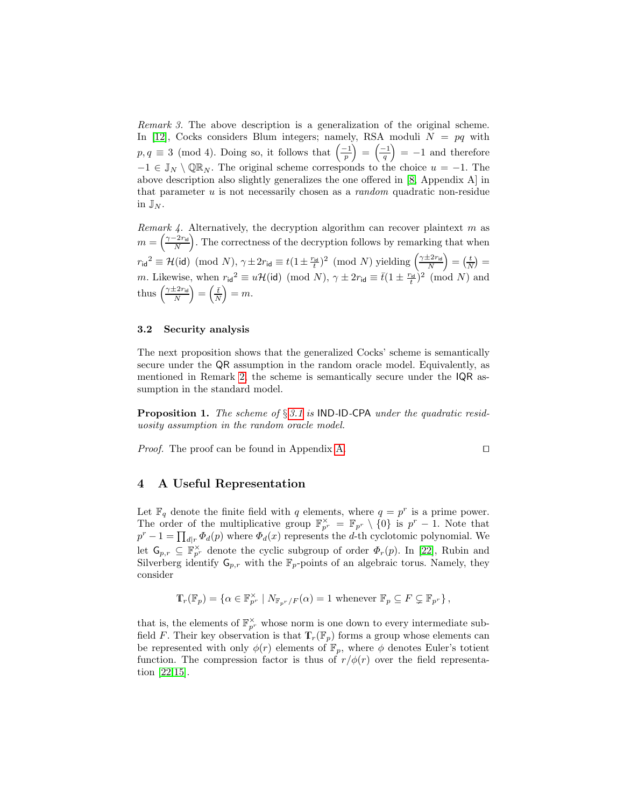Remark 3. The above description is a generalization of the original scheme. In [\[12\]](#page-18-2), Cocks considers Blum integers; namely, RSA moduli  $N = pq$  with  $p, q \equiv 3 \pmod{4}$ . Doing so, it follows that  $\left(\frac{-1}{n}\right)$  $\left(\frac{-1}{p}\right) = \left(\frac{-1}{q}\right)$  $\left(\frac{-1}{q}\right)$  = -1 and therefore  $-1 \in \mathbb{J}_N \setminus \mathbb{Q}\mathbb{R}_N$ . The original scheme corresponds to the choice  $u = -1$ . The above description also slightly generalizes the one offered in [\[8,](#page-18-4) Appendix A] in that parameter  $u$  is not necessarily chosen as a *random* quadratic non-residue in  $\mathbb{J}_N$ .

*Remark 4.* Alternatively, the decryption algorithm can recover plaintext  $m$  as  $m = \left(\frac{\gamma-2r_{\mathsf{id}}}{N}\right)$  $\left(\frac{2r_{\text{dd}}}{N}\right)$ . The correctness of the decryption follows by remarking that when  $r_{\mathsf{id}}^2 \equiv \mathcal{H}(\mathsf{id}) \pmod{N}, \gamma \pm 2r_{\mathsf{id}} \equiv t(1 \pm \frac{r_{\mathsf{id}}}{t})^2 \pmod{N}$  yielding  $\left(\frac{\gamma \pm 2r_{\mathsf{id}}}{N}\right)$  $\left(\frac{t}{N}\right) = \left(\frac{t}{N}\right) =$ *m*. Likewise, when  $r_{\text{id}}^2 \equiv u\mathcal{H}(\text{id}) \pmod{N}$ ,  $\gamma \pm 2r_{\text{id}} \equiv \bar{t}(1 \pm \frac{r_{\text{id}}}{\bar{t}})^2 \pmod{N}$  and thus  $\left(\frac{\gamma \pm 2r_{\text{id}}}{N}\right)$  $\left(\frac{\bar{t}}{N}\right) = \left(\frac{\bar{t}}{N}\right) = m.$ 

### 3.2 Security analysis

The next proposition shows that the generalized Cocks' scheme is semantically secure under the QR assumption in the random oracle model. Equivalently, as mentioned in Remark [2,](#page-6-0) the scheme is semantically secure under the IQR assumption in the standard model.

<span id="page-7-0"></span>**Proposition 1.** The scheme of  $\S 3.1$  $\S 3.1$  is IND-ID-CPA under the quadratic residuosity assumption in the random oracle model.

*Proof.* The proof can be found in Appendix [A.](#page-19-9)

$$
\Box
$$

# 4 A Useful Representation

Let  $\mathbb{F}_q$  denote the finite field with q elements, where  $q = p^r$  is a prime power. The order of the multiplicative group  $\mathbb{F}_{p^r}^{\times} = \mathbb{F}_{p^r} \setminus \{0\}$  is  $p^r - 1$ . Note that  $p^r - 1 = \prod_{d \mid r} \Phi_d(p)$  where  $\Phi_d(x)$  represents the d-th cyclotomic polynomial. We let  $\mathsf{G}_{p,r} \subseteq \mathbb{F}_{p^r}^{\times}$  denote the cyclic subgroup of order  $\Phi_r(p)$ . In [\[22\]](#page-19-6), Rubin and Silverberg identify  $\mathsf{G}_{p,r}$  with the  $\mathbb{F}_p$ -points of an algebraic torus. Namely, they consider

$$
\mathbb{T}_r(\mathbb{F}_p) = \{ \alpha \in \mathbb{F}_{p^r}^{\times} \mid N_{\mathbb{F}_{p^r}/F}(\alpha) = 1 \text{ whenever } \mathbb{F}_p \subseteq F \subsetneq \mathbb{F}_{p^r} \},
$$

that is, the elements of  $\mathbb{F}_{p^r}^{\times}$  whose norm is one down to every intermediate subfield F. Their key observation is that  $T_r(\mathbb{F}_p)$  forms a group whose elements can be represented with only  $\phi(r)$  elements of  $\mathbb{F}_p$ , where  $\phi$  denotes Euler's totient function. The compression factor is thus of  $r/\phi(r)$  over the field representation [\[22,](#page-19-6)[15\]](#page-19-10).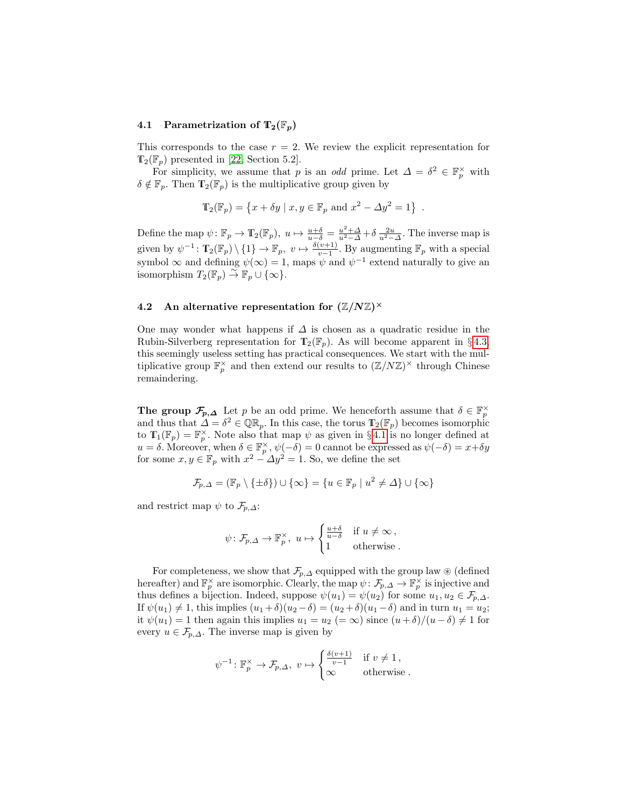#### <span id="page-8-0"></span>4.1 Parametrization of  $T_2(\mathbb{F}_p)$

This corresponds to the case  $r = 2$ . We review the explicit representation for  $\mathbb{T}_2(\mathbb{F}_p)$  presented in [\[22,](#page-19-6) Section 5.2].

For simplicity, we assume that p is an odd prime. Let  $\Delta = \delta^2 \in \mathbb{F}_p^{\times}$  with  $\delta \notin \mathbb{F}_p$ . Then  $\mathbb{T}_2(\mathbb{F}_p)$  is the multiplicative group given by

$$
\mathbb{T}_2(\mathbb{F}_p) = \left\{ x + \delta y \mid x, y \in \mathbb{F}_p \text{ and } x^2 - \Delta y^2 = 1 \right\} .
$$

Define the map  $\psi: \mathbb{F}_p \to \mathbb{T}_2(\mathbb{F}_p)$ ,  $u \mapsto \frac{u+\delta}{u-\delta} = \frac{u^2+\Delta}{u^2-\Delta} + \delta \frac{2u}{u^2-\Delta}$ . The inverse map is given by  $\psi^{-1}$ :  $\mathbb{T}_2(\mathbb{F}_p) \setminus \{1\} \to \mathbb{F}_p$ ,  $v \mapsto \frac{\delta(v+1)}{v-1}$ . By augmenting  $\mathbb{F}_p$  with a special symbol  $\infty$  and defining  $\psi(\infty) = 1$ , maps  $\psi$  and  $\psi^{-1}$  extend naturally to give an isomorphism  $T_2(\mathbb{F}_p) \overset{\sim}{\to} \mathbb{F}_p \cup \{\infty\}.$ 

# <span id="page-8-1"></span>4.2 An alternative representation for  $(\mathbb{Z}/N\mathbb{Z})^{\times}$

One may wonder what happens if  $\Delta$  is chosen as a quadratic residue in the Rubin-Silverberg representation for  $T_2(\mathbb{F}_p)$ . As will become apparent in §[4.3,](#page-9-0) this seemingly useless setting has practical consequences. We start with the multiplicative group  $\mathbb{F}_p^{\times}$  and then extend our results to  $(\mathbb{Z}/N\mathbb{Z})^{\times}$  through Chinese remaindering.

The group  $\mathcal{F}_{p,\Delta}$  Let p be an odd prime. We henceforth assume that  $\delta \in \mathbb{F}_p^{\times}$ and thus that  $\Delta = \delta^2 \in \mathbb{QR}_p$ . In this case, the torus  $\mathbb{T}_2(\mathbb{F}_p)$  becomes isomorphic to  $T_1(\mathbb{F}_p) = \mathbb{F}_p^{\times}$ . Note also that map  $\psi$  as given in §[4.1](#page-8-0) is no longer defined at  $u = \delta$ . Moreover, when  $\delta \in \mathbb{F}_p^\times$ ,  $\psi(-\delta) = 0$  cannot be expressed as  $\psi(-\delta) = x + \delta y$ for some  $x, y \in \mathbb{F}_p$  with  $x^2 - \Delta y^2 = 1$ . So, we define the set

$$
\mathcal{F}_{p,\varDelta} = (\mathbb{F}_p \setminus \{\pm \delta\}) \cup \{\infty\} = \{u \in \mathbb{F}_p \mid u^2 \neq \varDelta\} \cup \{\infty\}
$$

and restrict map  $\psi$  to  $\mathcal{F}_{p,\Delta}$ :

$$
\psi \colon \mathcal{F}_{p,\varDelta} \to \mathbb{F}_p^{\times}, \ u \mapsto \begin{cases} \frac{u+\delta}{u-\delta} & \text{if } u \neq \infty, \\ 1 & \text{otherwise.} \end{cases}
$$

For completeness, we show that  $\mathcal{F}_{p,\Delta}$  equipped with the group law  $\otimes$  (defined hereafter) and  $\mathbb{F}_p^{\times}$  are isomorphic. Clearly, the map  $\psi: \mathcal{F}_{p,\Delta} \to \mathbb{F}_p^{\times}$  is injective and thus defines a bijection. Indeed, suppose  $\psi(u_1) = \psi(u_2)$  for some  $u_1, u_2 \in \mathcal{F}_{p,\Delta}$ . If  $\psi(u_1) \neq 1$ , this implies  $(u_1 + \delta)(u_2 - \delta) = (u_2 + \delta)(u_1 - \delta)$  and in turn  $u_1 = u_2$ ; it  $\psi(u_1) = 1$  then again this implies  $u_1 = u_2 = \infty$  since  $(u + \delta)/(u - \delta) \neq 1$  for every  $u \in \mathcal{F}_{p,\Delta}$ . The inverse map is given by

$$
\psi^{-1} \colon \mathbb{F}_p^{\times} \to \mathcal{F}_{p,\Delta}, \ v \mapsto \begin{cases} \frac{\delta(v+1)}{v-1} & \text{if } v \neq 1, \\ \infty & \text{otherwise.} \end{cases}
$$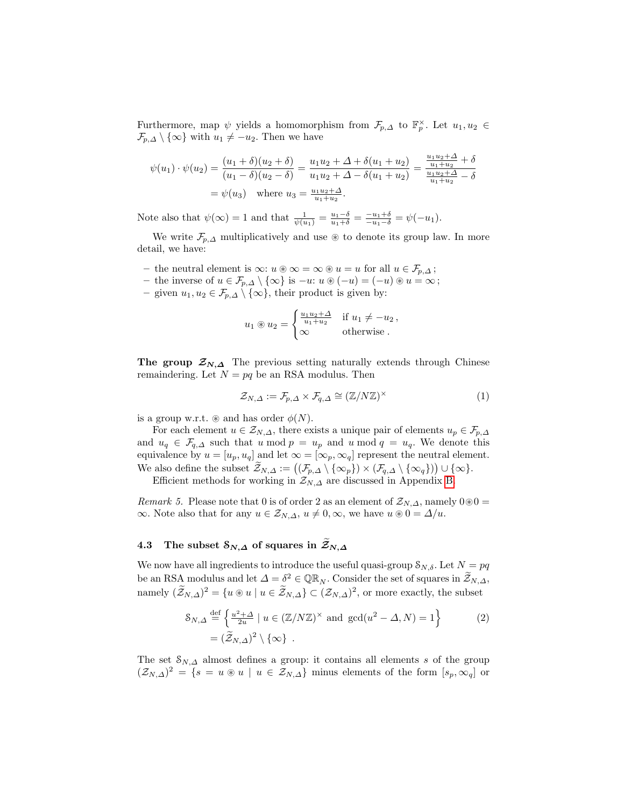Furthermore, map  $\psi$  yields a homomorphism from  $\mathcal{F}_{p,\Delta}$  to  $\mathbb{F}_p^{\times}$ . Let  $u_1, u_2 \in$  $\mathcal{F}_{p,\Delta}\setminus\{\infty\}$  with  $u_1\neq -u_2$ . Then we have

$$
\psi(u_1) \cdot \psi(u_2) = \frac{(u_1 + \delta)(u_2 + \delta)}{(u_1 - \delta)(u_2 - \delta)} = \frac{u_1 u_2 + \Delta + \delta(u_1 + u_2)}{u_1 u_2 + \Delta - \delta(u_1 + u_2)} = \frac{\frac{u_1 u_2 + \Delta}{u_1 + u_2} + \delta}{\frac{u_1 u_2 + \Delta}{u_1 + u_2} - \delta}
$$
  
=  $\psi(u_3)$  where  $u_3 = \frac{u_1 u_2 + \Delta}{u_1 + u_2}$ .

Note also that  $\psi(\infty) = 1$  and that  $\frac{1}{\psi(u_1)} = \frac{u_1 - \delta}{u_1 + \delta} = \frac{-u_1 + \delta}{-u_1 - \delta} = \psi(-u_1)$ .

We write  $\mathcal{F}_{p,\Delta}$  multiplicatively and use  $\otimes$  to denote its group law. In more detail, we have:

– the neutral element is ∞:  $u \circledast \infty = \infty \circledast u = u$  for all  $u \in \mathcal{F}_{p,\Delta}$ ;

– the inverse of  $u \in \mathcal{F}_{p,\Delta} \setminus \{\infty\}$  is  $-u: u \circledast (-u) = (-u) \circledast u = \infty;$ 

– given  $u_1, u_2 \in \mathcal{F}_{p,\Delta} \setminus \{\infty\}$ , their product is given by:

$$
u_1 \circledast u_2 = \begin{cases} \frac{u_1 u_2 + \Delta}{u_1 + u_2} & \text{if } u_1 \neq -u_2, \\ \infty & \text{otherwise.} \end{cases}
$$

The group  $\mathcal{Z}_{N,\Delta}$  The previous setting naturally extends through Chinese remaindering. Let  $N = pq$  be an RSA modulus. Then

$$
\mathcal{Z}_{N,\Delta} := \mathcal{F}_{p,\Delta} \times \mathcal{F}_{q,\Delta} \cong (\mathbb{Z}/N\mathbb{Z})^{\times}
$$
 (1)

is a group w.r.t.  $\otimes$  and has order  $\phi(N)$ .

For each element  $u \in \mathcal{Z}_{N,\Delta}$ , there exists a unique pair of elements  $u_p \in \mathcal{F}_{p,\Delta}$ and  $u_q \in \mathcal{F}_{q,\Delta}$  such that u mod  $p = u_p$  and u mod  $q = u_q$ . We denote this equivalence by  $u = [u_p, u_q]$  and let  $\infty = [\infty_p, \infty_q]$  represent the neutral element. We also define the subset  $\mathcal{Z}_{N,\Delta} := ((\mathcal{F}_{p,\Delta} \setminus {\{\infty_p\}}) \times (\mathcal{F}_{q,\Delta} \setminus {\{\infty_q\}})) \cup {\{\infty\}}.$ 

Efficient methods for working in  $\mathcal{Z}_{N,\Delta}$  are discussed in Appendix [B.](#page-22-0)

Remark 5. Please note that 0 is of order 2 as an element of  $\mathcal{Z}_{N,\Delta}$ , namely 0 $\otimes$ 0 =  $\infty$ . Note also that for any  $u \in \mathcal{Z}_{N,\Delta}$ ,  $u \neq 0$ ,  $\infty$ , we have  $u \circledast 0 = \Delta/u$ .

# <span id="page-9-0"></span>4.3 The subset  $S_{N,\Delta}$  of squares in  $\mathcal{Z}_{N,\Delta}$

We now have all ingredients to introduce the useful quasi-group  $S_{N,\delta}$ . Let  $N = pq$ be an RSA modulus and let  $\Delta = \delta^2 \in \mathbb{QR}_N$ . Consider the set of squares in  $\widetilde{Z}_{N,\Delta}$ , namely  $(\widetilde{\mathcal{Z}}_{N,\Delta})^2 = \{u \circledast u \mid u \in \widetilde{\mathcal{Z}}_{N,\Delta}\} \subset (\mathcal{Z}_{N,\Delta})^2$ , or more exactly, the subset

$$
\mathcal{S}_{N,\Delta} \stackrel{\text{def}}{=} \left\{ \frac{u^2 + \Delta}{2u} \mid u \in (\mathbb{Z}/N\mathbb{Z})^\times \text{ and } \gcd(u^2 - \Delta, N) = 1 \right\}
$$
(2)  
=  $(\widetilde{\mathcal{Z}}_{N,\Delta})^2 \setminus \{\infty\}.$ 

The set  $\mathcal{S}_{N,\Delta}$  almost defines a group: it contains all elements s of the group  $(\mathcal{Z}_{N,A})^2 = \{s = u \otimes u \mid u \in \mathcal{Z}_{N,A}\}\$ minus elements of the form  $[s_p, \infty_q]$  or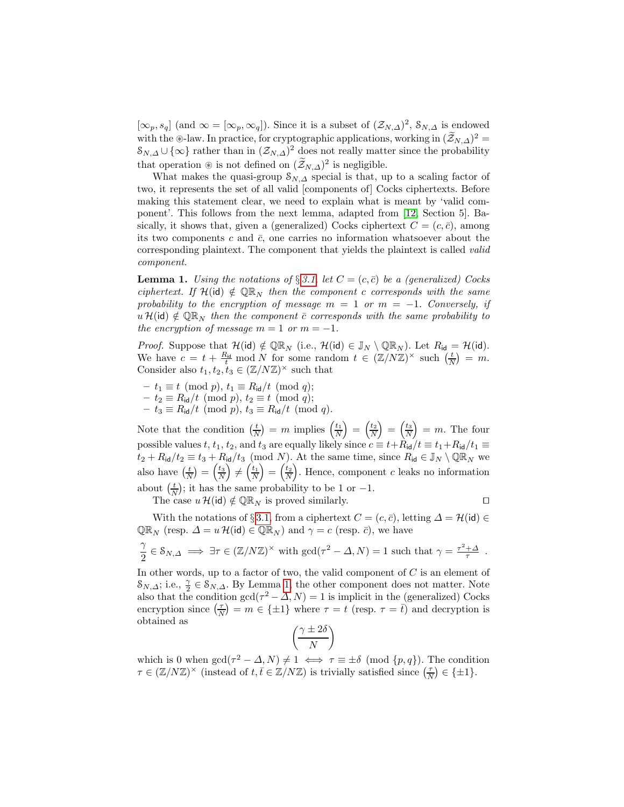$[\infty_p, s_q]$  (and  $\infty = [\infty_p, \infty_q]$ ). Since it is a subset of  $(\mathcal{Z}_{N,\Delta})^2$ ,  $\mathcal{S}_{N,\Delta}$  is endowed with the  $\circledast$ -law. In practice, for cryptographic applications, working in  $(\widetilde{Z}_{N,\Delta})^2 =$  $\mathcal{S}_{N,\Delta} \cup \{\infty\}$  rather than in  $(\mathcal{Z}_{N,\Delta})^2$  does not really matter since the probability that operation  $\circledast$  is not defined on  $(\widetilde{Z}_{N,\Delta})^2$  is negligible.

What makes the quasi-group  $\mathcal{S}_{N,\Delta}$  special is that, up to a scaling factor of two, it represents the set of all valid [components of] Cocks ciphertexts. Before making this statement clear, we need to explain what is meant by 'valid component'. This follows from the next lemma, adapted from [\[12,](#page-18-2) Section 5]. Basically, it shows that, given a (generalized) Cocks ciphertext  $C = (c, \bar{c})$ , among its two components c and  $\bar{c}$ , one carries no information whatsoever about the corresponding plaintext. The component that yields the plaintext is called valid component.

<span id="page-10-0"></span>**Lemma 1.** Using the notations of § [3.1,](#page-6-1) let  $C = (c, \bar{c})$  be a (generalized) Cocks ciphertext. If  $\mathcal{H}(\mathsf{id}) \notin \mathbb{QR}_N$  then the component c corresponds with the same probability to the encryption of message  $m = 1$  or  $m = -1$ . Conversely, if  $u \mathcal{H}(\mathsf{id}) \notin \mathbb{Q}\mathbb{R}_N$  then the component  $\overline{c}$  corresponds with the same probability to the encryption of message  $m = 1$  or  $m = -1$ .

*Proof.* Suppose that  $\mathcal{H}(\mathsf{id}) \notin \mathbb{QR}_N$  (i.e.,  $\mathcal{H}(\mathsf{id}) \in \mathbb{J}_N \setminus \mathbb{QR}_N$ ). Let  $R_{\mathsf{id}} = \mathcal{H}(\mathsf{id})$ . We have  $c = t + \frac{R_{id}}{t} \mod N$  for some random  $t \in (\mathbb{Z}/N\mathbb{Z})^{\times}$  such  $(\frac{t}{N}) = m$ . Consider also  $t_1, t_2, t_3 \in (\mathbb{Z}/N\mathbb{Z})^{\times}$  such that

 $-t_1 \equiv t \pmod{p}$ ,  $t_1 \equiv R_{\mathsf{id}}/t \pmod{q}$ ;  $-t_2 \equiv R_{\text{id}}/t \pmod{p}, t_2 \equiv t \pmod{q};$  $-t_3 \equiv R_{\rm id}/t \pmod{p}, t_3 \equiv R_{\rm id}/t \pmod{q}.$ 

Note that the condition  $\left(\frac{t}{N}\right) = m$  implies  $\left(\frac{t_1}{N}\right)$  $\left(\frac{t_1}{N}\right) \,=\, \left(\frac{t_2}{N}\right)$  $\left(\frac{t_2}{N}\right) \,=\, \left(\frac{t_3}{N}\right)$  $\left(\frac{t_3}{N}\right) = m$ . The four possible values  $t, t_1, t_2$ , and  $t_3$  are equally likely since  $c \equiv t + R_{id}/t \equiv t_1 + R_{id}/t_1 \equiv$  $t_2 + R_{\mathsf{id}}/t_2 \equiv t_3 + R_{\mathsf{id}}/t_3 \pmod{N}$ . At the same time, since  $R_{\mathsf{id}} \in \mathbb{J}_N \setminus \mathbb{Q} \mathbb{R}_N$  we also have  $\left(\frac{t}{N}\right) = \left(\frac{t_3}{N}\right)$  $\left(\frac{t_3}{N}\right) \neq \left(\frac{t_1}{N}\right)$  $\left(\frac{t_1}{N}\right) = \left(\frac{t_2}{N}\right)$  $\frac{t_2}{N}$ . Hence, component c leaks no information about  $(\frac{t}{N})$ ; it has the same probability to be 1 or -1.

The case  $u \mathcal{H}(\mathsf{id}) \notin \mathbb{QR}_N$  is proved similarly.

With the notations of § [3.1,](#page-6-1) from a ciphertext  $C = (c, \bar{c})$ , letting  $\Delta = \mathcal{H}(\mathsf{id}) \in$  $\mathbb{QR}_N$  (resp.  $\Delta = u \mathcal{H}(\text{id}) \in \mathbb{QR}_N$ ) and  $\gamma = c$  (resp.  $\bar{c}$ ), we have

$$
\frac{\gamma}{2} \in \mathcal{S}_{N,\Delta} \implies \exists \tau \in (\mathbb{Z}/N\mathbb{Z})^{\times} \text{ with } \gcd(\tau^2 - \Delta, N) = 1 \text{ such that } \gamma = \frac{\tau^2 + \Delta}{\tau}
$$

.

In other words, up to a factor of two, the valid component of  $C$  is an element of  $\mathcal{S}_{N,\Delta}$ ; i.e.,  $\frac{\gamma}{2} \in \mathcal{S}_{N,\Delta}$ . By Lemma [1,](#page-10-0) the other component does not matter. Note also that the condition  $gcd(\tau^2 - \Delta, N) = 1$  is implicit in the (generalized) Cocks encryption since  $(\frac{\tau}{N}) = m \in {\pm 1}$  where  $\tau = t$  (resp.  $\tau = \overline{t}$ ) and decryption is obtained as

$$
\left(\frac{\gamma \pm 2\delta}{N}\right)
$$

which is 0 when  $gcd(\tau^2 - \Delta, N) \neq 1 \iff \tau \equiv \pm \delta \pmod{p, q}$ . The condition  $\tau \in (\mathbb{Z}/N\mathbb{Z})^{\times}$  (instead of  $t, \overline{t} \in \mathbb{Z}/N\mathbb{Z}$ ) is trivially satisfied since  $(\frac{\tau}{N}) \in {\pm 1}$ .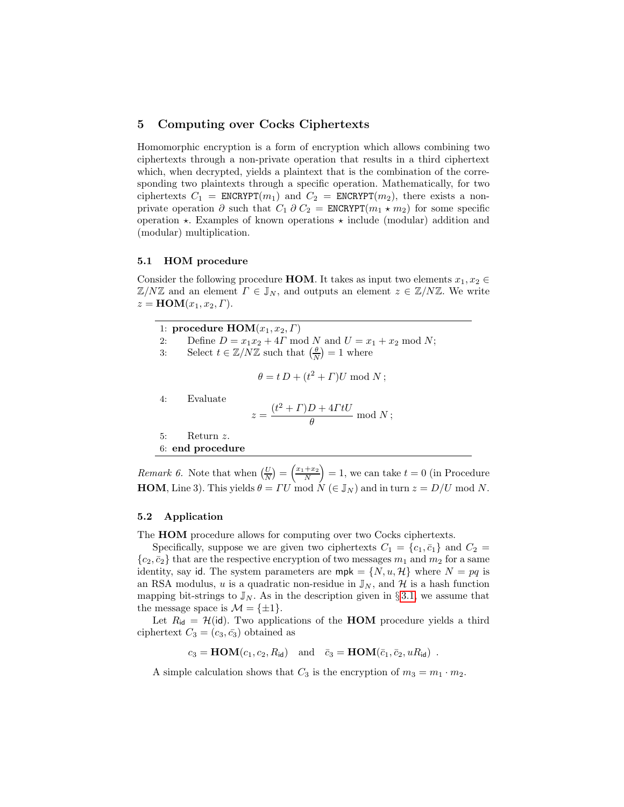# 5 Computing over Cocks Ciphertexts

Homomorphic encryption is a form of encryption which allows combining two ciphertexts through a non-private operation that results in a third ciphertext which, when decrypted, yields a plaintext that is the combination of the corresponding two plaintexts through a specific operation. Mathematically, for two ciphertexts  $C_1$  = ENCRYPT( $m_1$ ) and  $C_2$  = ENCRYPT( $m_2$ ), there exists a nonprivate operation  $\partial$  such that  $C_1 \partial C_2 = \text{ENCRYPT}(m_1 \star m_2)$  for some specific operation  $\star$ . Examples of known operations  $\star$  include (modular) addition and (modular) multiplication.

#### 5.1 HOM procedure

Consider the following procedure **HOM**. It takes as input two elements  $x_1, x_2 \in$  $\mathbb{Z}/N\mathbb{Z}$  and an element  $\Gamma \in \mathbb{J}_N$ , and outputs an element  $z \in \mathbb{Z}/N\mathbb{Z}$ . We write  $z = HOM(x_1, x_2, \Gamma).$ 

1: procedure  $\text{HOM}(x_1, x_2, \Gamma)$ 

- 2: Define  $D = x_1x_2 + 4\Gamma \text{ mod } N$  and  $U = x_1 + x_2 \text{ mod } N$ ;
- 3: Select  $t \in \mathbb{Z}/N\mathbb{Z}$  such that  $\left(\frac{\theta}{N}\right) = 1$  where

 $\overline{z}$ 

$$
\theta = t D + (t^2 + \Gamma)U \bmod N;
$$

4: Evaluate

$$
t = \frac{(t^2 + \Gamma)D + 4\Gamma tU}{\theta} \mod N;
$$

5: Return z. 6: end procedure

*Remark 6.* Note that when  $\left(\frac{U}{N}\right) = \left(\frac{x_1+x_2}{N}\right)$  $\left(\frac{+x_2}{N}\right) = 1$ , we can take  $t = 0$  (in Procedure **HOM**, Line 3). This yields  $\theta = TU \mod N \ (\in \mathbb{J}_N)$  and in turn  $z = D/U \mod N$ .

### 5.2 Application

The HOM procedure allows for computing over two Cocks ciphertexts.

Specifically, suppose we are given two ciphertexts  $C_1 = \{c_1, \bar{c}_1\}$  and  $C_2 =$  ${c_2, \bar{c}_2}$  that are the respective encryption of two messages  $m_1$  and  $m_2$  for a same identity, say id. The system parameters are  $mpk = \{N, u, H\}$  where  $N = pq$  is an RSA modulus, u is a quadratic non-residue in  $\mathbb{J}_N$ , and H is a hash function mapping bit-strings to  $\mathbb{J}_N$ . As in the description given in § [3.1,](#page-6-1) we assume that the message space is  $\mathcal{M} = {\pm 1}.$ 

Let  $R_{\text{id}} = \mathcal{H}(\text{id})$ . Two applications of the **HOM** procedure yields a third ciphertext  $C_3 = (c_3, \bar{c}_3)$  obtained as

 $c_3 = \text{HOM}(c_1, c_2, R_{\text{id}})$  and  $\bar{c}_3 = \text{HOM}(\bar{c}_1, \bar{c}_2, uR_{\text{id}})$ .

A simple calculation shows that  $C_3$  is the encryption of  $m_3 = m_1 \cdot m_2$ .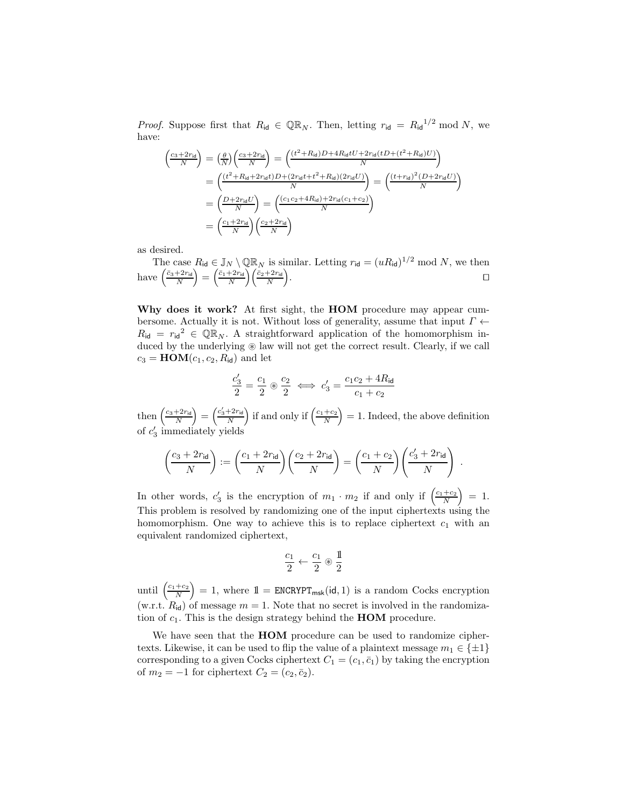*Proof.* Suppose first that  $R_{\text{id}} \in \mathbb{Q}\mathbb{R}_N$ . Then, letting  $r_{\text{id}} = R_{\text{id}}^{1/2} \text{ mod } N$ , we have:

$$
\begin{split} \binom{c_3+2r_{\text{id}}}{N} &= \left(\frac{\theta}{N}\right)\binom{c_3+2r_{\text{id}}}{N} = \binom{(t^2+R_{\text{id}})D+4R_{\text{id}}tU+2r_{\text{id}}(tD+(t^2+R_{\text{id}})U)}{N} \\ &= \left(\frac{(t^2+R_{\text{id}}+2r_{\text{id}}t)D+(2r_{\text{id}}t+t^2+R_{\text{id}})(2r_{\text{id}}U)}{N}\right) = \binom{(t+r_{\text{id}})^2(D+2r_{\text{id}}U)}{N} \\ &= \left(\frac{D+2r_{\text{id}}U}{N}\right) = \binom{(c_1c_2+4R_{\text{id}})+2r_{\text{id}}(c_1+c_2)}{N} \\ &= \left(\frac{c_1+2r_{\text{id}}}{N}\right)\binom{c_2+2r_{\text{id}}}{N} \end{split}
$$

as desired.

The case  $R_{\text{id}} \in \mathbb{J}_N \setminus \mathbb{Q} \mathbb{R}_N$  is similar. Letting  $r_{\text{id}} = (uR_{\text{id}})^{1/2} \text{ mod } N$ , we then have  $\left(\frac{\bar{c}_3+2r_{\text{id}}}{N}\right)$  $\left(\frac{\bar{c}_1+2r_{\mathsf{id}}}{N}\right) = \left(\frac{\bar{c}_1+2r_{\mathsf{id}}}{N}\right)$  $\frac{(-2+2r_{\text{id}})}{N}\left(\frac{\bar{c}_2+2r_{\text{id}}}{N}\right).$ 

Why does it work? At first sight, the **HOM** procedure may appear cumbersome. Actually it is not. Without loss of generality, assume that input  $\Gamma \leftarrow$  $R_{\text{id}} = r_{\text{id}}^2 \in \mathbb{QR}_N$ . A straightforward application of the homomorphism induced by the underlying  $\circledast$  law will not get the correct result. Clearly, if we call  $c_3 = \text{HOM}(c_1, c_2, R_{\text{id}})$  and let

$$
\frac{c_3'}{2} = \frac{c_1}{2} \circledast \frac{c_2}{2} \iff c_3' = \frac{c_1c_2 + 4R_{\text{id}}}{c_1 + c_2}
$$

then  $\left(\frac{c_3+2r_{\text{id}}}{N}\right)$  $\left(\frac{C_3' + 2r_{\text{id}}}{N}\right) = \left(\frac{C_3' + 2r_{\text{id}}}{N}\right)$  $\frac{+2r_{\text{id}}}{N}$  if and only if  $\left(\frac{c_1+c_2}{N}\right)$  $\left(\frac{+c_2}{N}\right) = 1.$  Indeed, the above definition of  $c'_3$  immediately yields

$$
\left(\frac{c_3 + 2r_{\mathsf{id}}}{N}\right) := \left(\frac{c_1 + 2r_{\mathsf{id}}}{N}\right)\left(\frac{c_2 + 2r_{\mathsf{id}}}{N}\right) = \left(\frac{c_1 + c_2}{N}\right)\left(\frac{c_3' + 2r_{\mathsf{id}}}{N}\right) \ .
$$

In other words,  $c'_3$  is the encryption of  $m_1 \cdot m_2$  if and only if  $\left(\frac{c_1+c_2}{N}\right)$  $\frac{+c_2}{N}$  = 1. This problem is resolved by randomizing one of the input ciphertexts using the homomorphism. One way to achieve this is to replace ciphertext  $c_1$  with an equivalent randomized ciphertext,

$$
\frac{c_1}{2} \leftarrow \frac{c_1}{2} \circledast \frac{1}{2}
$$

until  $\left(\frac{c_1+c_2}{N}\right)$  $\left(\frac{+c_2}{N}\right) = 1$ , where  $1\!\!1 = \text{ENCRYPT}_{\text{msk}}(\text{id}, 1)$  is a random Cocks encryption (w.r.t.  $R_{id}$ ) of message  $m = 1$ . Note that no secret is involved in the randomization of  $c_1$ . This is the design strategy behind the **HOM** procedure.

We have seen that the **HOM** procedure can be used to randomize ciphertexts. Likewise, it can be used to flip the value of a plaintext message  $m_1 \in \{\pm 1\}$ corresponding to a given Cocks ciphertext  $C_1 = (c_1, \bar{c}_1)$  by taking the encryption of  $m_2 = -1$  for ciphertext  $C_2 = (c_2, \bar{c}_2)$ .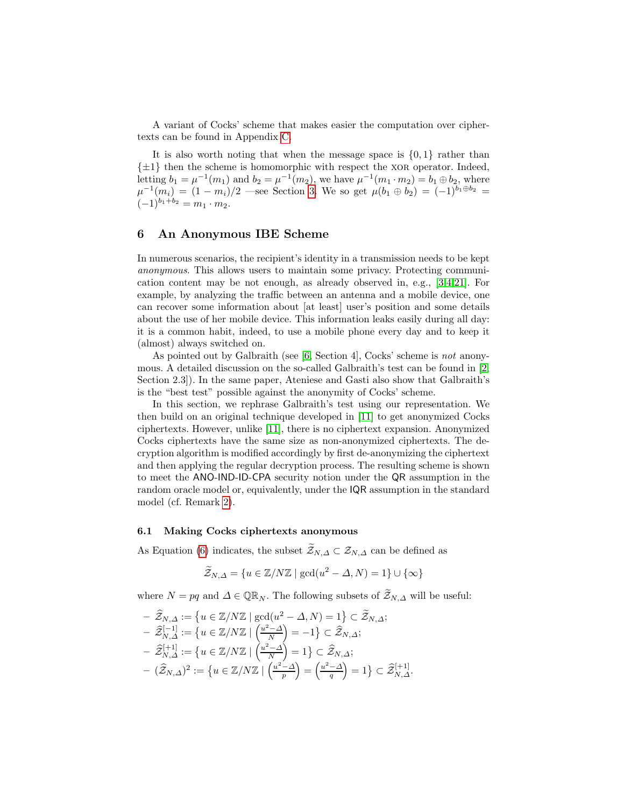A variant of Cocks' scheme that makes easier the computation over ciphertexts can be found in Appendix [C.](#page-22-1)

It is also worth noting that when the message space is  $\{0, 1\}$  rather than  $\{\pm 1\}$  then the scheme is homomorphic with respect the XOR operator. Indeed, letting  $b_1 = \mu^{-1}(m_1)$  and  $b_2 = \mu^{-1}(m_2)$ , we have  $\mu^{-1}(m_1 \cdot m_2) = b_1 \oplus b_2$ , where  $\mu^{-1}(m_i) = (1 - m_i)/2$  —see Section [3.](#page-6-2) We so get  $\mu(b_1 \oplus b_2) = (-1)^{b_1 \oplus b_2} =$  $(-1)^{b_1+b_2} = m_1 \cdot m_2$ .

# 6 An Anonymous IBE Scheme

In numerous scenarios, the recipient's identity in a transmission needs to be kept anonymous. This allows users to maintain some privacy. Protecting communication content may be not enough, as already observed in, e.g., [\[3](#page-18-12)[,4,](#page-18-9)[21\]](#page-19-11). For example, by analyzing the traffic between an antenna and a mobile device, one can recover some information about [at least] user's position and some details about the use of her mobile device. This information leaks easily during all day: it is a common habit, indeed, to use a mobile phone every day and to keep it (almost) always switched on.

As pointed out by Galbraith (see [\[6,](#page-18-13) Section 4], Cocks' scheme is *not* anonymous. A detailed discussion on the so-called Galbraith's test can be found in [\[2,](#page-18-5) Section 2.3]). In the same paper, Ateniese and Gasti also show that Galbraith's is the "best test" possible against the anonymity of Cocks' scheme.

In this section, we rephrase Galbraith's test using our representation. We then build on an original technique developed in [\[11\]](#page-18-6) to get anonymized Cocks ciphertexts. However, unlike [\[11\]](#page-18-6), there is no ciphertext expansion. Anonymized Cocks ciphertexts have the same size as non-anonymized ciphertexts. The decryption algorithm is modified accordingly by first de-anonymizing the ciphertext and then applying the regular decryption process. The resulting scheme is shown to meet the ANO-IND-ID-CPA security notion under the QR assumption in the random oracle model or, equivalently, under the IQR assumption in the standard model (cf. Remark [2\)](#page-6-0).

### <span id="page-13-0"></span>6.1 Making Cocks ciphertexts anonymous

As Equation [\(6\)](#page-22-2) indicates, the subset  $\widetilde{Z}_{N,\Delta} \subset \mathcal{Z}_{N,\Delta}$  can be defined as

$$
\widetilde{\mathcal{Z}}_{N,\Delta} = \{ u \in \mathbb{Z}/N\mathbb{Z} \mid \gcd(u^2 - \Delta, N) = 1 \} \cup \{ \infty \}
$$

where  $N = pq$  and  $\Delta \in \mathbb{QR}_N$ . The following subsets of  $\widetilde{\mathcal{Z}}_{N,\Delta}$  will be useful:

$$
- \hat{\mathcal{Z}}_{N,\Delta} := \{ u \in \mathbb{Z}/N\mathbb{Z} \mid \gcd(u^2 - \Delta, N) = 1 \} \subset \tilde{\mathcal{Z}}_{N,\Delta};
$$
  
\n
$$
- \hat{\mathcal{Z}}_{N,\Delta}^{[-1]} := \{ u \in \mathbb{Z}/N\mathbb{Z} \mid \left( \frac{u^2 - \Delta}{N} \right) = -1 \} \subset \hat{\mathcal{Z}}_{N,\Delta};
$$
  
\n
$$
- \hat{\mathcal{Z}}_{N,\Delta}^{[+1]} := \{ u \in \mathbb{Z}/N\mathbb{Z} \mid \left( \frac{u^2 - \Delta}{N} \right) = 1 \} \subset \hat{\mathcal{Z}}_{N,\Delta};
$$
  
\n
$$
- (\hat{\mathcal{Z}}_{N,\Delta})^2 := \{ u \in \mathbb{Z}/N\mathbb{Z} \mid \left( \frac{u^2 - \Delta}{p} \right) = \left( \frac{u^2 - \Delta}{q} \right) = 1 \} \subset \hat{\mathcal{Z}}_{N,\Delta}^{[+1]}.
$$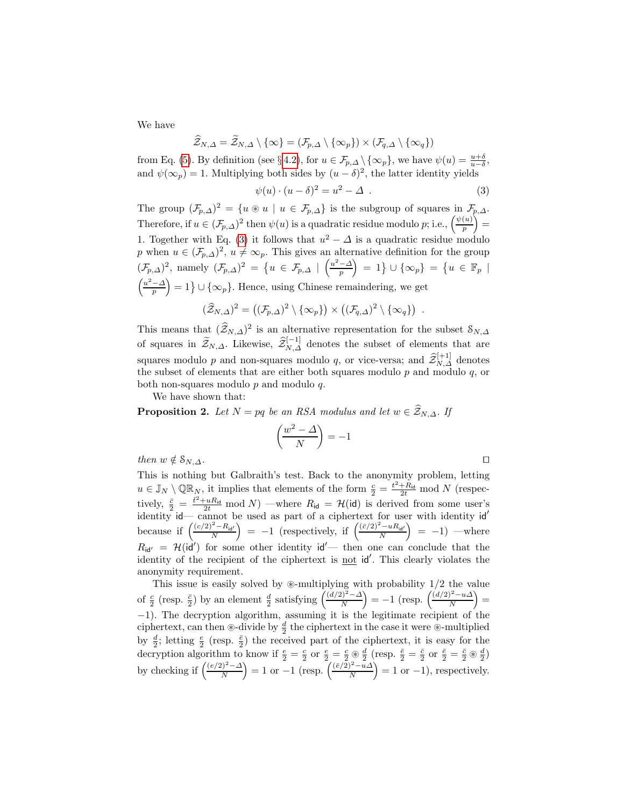We have

$$
\widehat{\mathcal{Z}}_{N,\Delta} = \widetilde{\mathcal{Z}}_{N,\Delta} \setminus \{\infty\} = (\mathcal{F}_{p,\Delta} \setminus \{\infty_p\}) \times (\mathcal{F}_{q,\Delta} \setminus \{\infty_q\})
$$

from Eq. [\(5\)](#page-22-3). By definition (see § [4.2\)](#page-8-1), for  $u \in \mathcal{F}_{p,\Delta} \setminus \{\infty_p\}$ , we have  $\psi(u) = \frac{u+\delta}{u-\delta}$ , and  $\psi(\infty_p) = 1$ . Multiplying both sides by  $(u - \delta)^2$ , the latter identity yields

<span id="page-14-0"></span>
$$
\psi(u) \cdot (u - \delta)^2 = u^2 - \Delta \tag{3}
$$

The group  $(\mathcal{F}_{p,\Delta})^2 = \{u \otimes u \mid u \in \mathcal{F}_{p,\Delta}\}\$ is the subgroup of squares in  $\mathcal{F}_{p,\Delta}$ . Therefore, if  $u \in (\mathcal{F}_{p,\Delta})^2$  then  $\psi(u)$  is a quadratic residue modulo  $p$ ; i.e.,  $\left(\frac{\psi(u)}{n}\right)$  $\binom{(u)}{p}$  = 1. Together with Eq. [\(3\)](#page-14-0) it follows that  $u^2 - \Delta$  is a quadratic residue modulo p when  $u \in (\mathcal{F}_{p,\Delta})^2$ ,  $u \neq \infty_p$ . This gives an alternative definition for the group  $(\mathcal{F}_{p,\Delta})^2$ , namely  $(\mathcal{F}_{p,\Delta})^2 = \{u \in \mathcal{F}_{p,\Delta} \mid \left(\frac{u^2 - \Delta}{n}\right)$  $\left(\frac{-\Delta}{p}\right) = 1$   $\cup$   $\{\infty_p\} = \{u \in \mathbb{F}_p \mid$  $\int u^2 - \Delta$  $\left(\frac{-\Delta}{p}\right) = 1$   $\cup$  { $\infty$ <sub>p</sub>}. Hence, using Chinese remaindering, we get  $(\widehat{Z}_{N,\Delta})^2 = ((\mathcal{F}_{p,\Delta})^2 \setminus {\{\infty_p\}}) \times ((\mathcal{F}_{q,\Delta})^2 \setminus {\{\infty_q\}}).$ 

This means that 
$$
(\widehat{Z}_{N,\Delta})^2
$$
 is an alternative representation for the subset  $\mathcal{S}_{N,\Delta}$  of squares in  $\widetilde{Z}_{N,\Delta}$ . Likewise,  $\widehat{Z}_{N,\Delta}^{[-1]}$  denotes the subset of elements that are squares modulo  $p$  and non-squares modulo  $q$ , or vice-versa; and  $\widehat{Z}_{N,\Delta}^{[+1]}$  denotes the subset of elements that are either both squares modulo  $p$  and modulo  $q$ , or both non-squares modulo  $p$  and modulo  $q$ .

We have shown that:

**Proposition 2.** Let  $N = pq$  be an RSA modulus and let  $w \in \widehat{Z}_{N,\Delta}$ . If

$$
\left(\!\frac{w^2-\varDelta}{N}\!\right)=-1
$$

then  $w \notin S_{N,\Delta}$ .

This is nothing but Galbraith's test. Back to the anonymity problem, letting  $u \in \mathbb{J}_N \setminus \mathbb{Q}\mathbb{R}_N$ , it implies that elements of the form  $\frac{c}{2} = \frac{t^2 + R_{\text{id}}}{2t} \mod N$  (respectively,  $\frac{\bar{c}}{2} = \frac{\bar{t}^2 + uR_{\text{id}}}{2\bar{t}} \mod N$  —where  $R_{\text{id}} = \mathcal{H}(\text{id})$  is derived from some user's identity id— cannot be used as part of a ciphertext for user with identity id' because if  $\left(\frac{(c/2)^2-R_{\text{id}'}}{N}\right)$  $\left(\frac{m^2 - R_{\text{id}}}{N}\right) = -1$  (respectively, if  $\left(\frac{(\bar{c}/2)^2 - uR_{\text{id}}}{N}\right)$  $\left(\frac{N^2-uR_{\mathsf{id}'}}{N}\right)$  = -1) —where  $R_{\text{id}'} = \mathcal{H}(\text{id}')$  for some other identity id— then one can conclude that the identity of the recipient of the ciphertext is not id'. This clearly violates the anonymity requirement.

This issue is easily solved by  $\circledast$ -multiplying with probability  $1/2$  the value of  $\frac{c}{2}$  (resp.  $\frac{\bar{c}}{2}$ ) by an element  $\frac{d}{2}$  satisfying  $\left(\frac{(d/2)^2 - \Delta}{N}\right)$  $\left(\frac{(d/2)^2 - 4}{N}\right) = -1$  (resp.  $\left(\frac{(d/2)^2 - u\Delta}{N}\right)$  $\frac{1}{N}^{2-u\Delta}$ ) = −1). The decryption algorithm, assuming it is the legitimate recipient of the ciphertext, can then  $\circledast$ -divide by  $\frac{d}{2}$  the ciphertext in the case it were  $\circledast$ -multiplied by  $\frac{d}{2}$ ; letting  $\frac{e}{2}$  (resp.  $\frac{\bar{e}}{2}$ ) the received part of the ciphertext, it is easy for the decryption algorithm to know if  $\frac{e}{2} = \frac{c}{2}$  or  $\frac{e}{2} = \frac{c}{2} \circledast \frac{d}{2}$  (resp.  $\frac{\bar{e}}{2} = \frac{\bar{c}}{2}$  or  $\frac{\bar{e}}{2} = \frac{\bar{c}}{2} \circledast \frac{d}{2}$ ) by checking if  $\left(\frac{(e/2)^2 - \Delta}{N}\right)$  $\left(\frac{(\bar{e}/2)^2 - u\Delta}{N}\right) = 1$  or  $-1$  (resp.  $\left(\frac{(\bar{e}/2)^2 - u\Delta}{N}\right)$  $\left(\frac{N^2-u\Delta}{N}\right) = 1$  or  $-1$ ), respectively.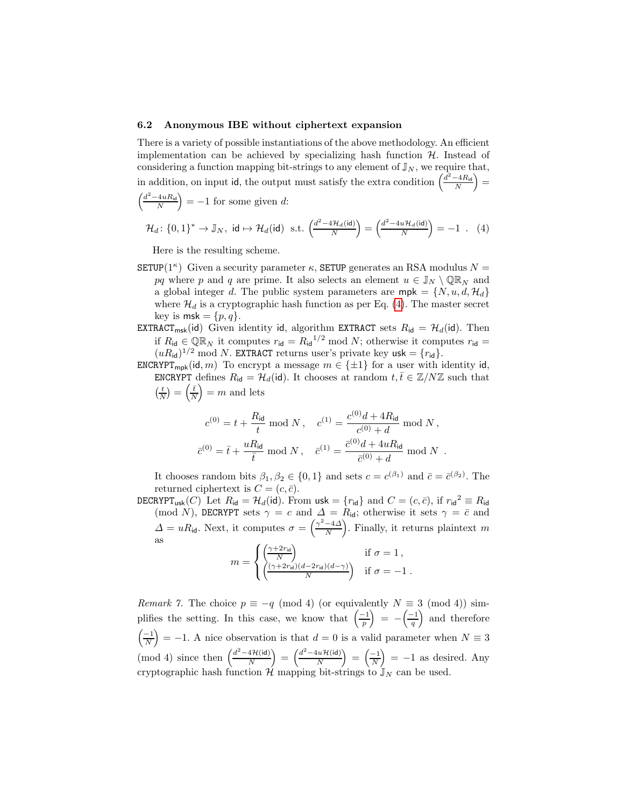#### <span id="page-15-1"></span>6.2 Anonymous IBE without ciphertext expansion

There is a variety of possible instantiations of the above methodology. An efficient implementation can be achieved by specializing hash function  $H$ . Instead of considering a function mapping bit-strings to any element of  $\mathbb{J}_N$ , we require that, in addition, on input id, the output must satisfy the extra condition  $\left(\frac{d^2-4R_{\text{id}}}{N}\right)$  $\frac{-4R_{\mathsf{id}}}{N}\Big) =$ 

$$
\left(\frac{d^2 - 4uR_{\text{id}}}{N}\right) = -1 \text{ for some given } d.
$$

<span id="page-15-0"></span>
$$
\mathcal{H}_d\colon \{0,1\}^* \to \mathbb{J}_N, \text{ id} \mapsto \mathcal{H}_d(\text{id}) \text{ s.t. } \left(\frac{d^2 - 4\mathcal{H}_d(\text{id})}{N}\right) = \left(\frac{d^2 - 4u\mathcal{H}_d(\text{id})}{N}\right) = -1 \quad (4)
$$

Here is the resulting scheme.

SETUP( $1^{\kappa}$ ) Given a security parameter  $\kappa$ , SETUP generates an RSA modulus  $N =$ pq where p and q are prime. It also selects an element  $u \in \mathbb{J}_N \setminus \mathbb{Q}\mathbb{R}_N$  and a global integer d. The public system parameters are  $mpk = \{N, u, d, H_d\}$ where  $\mathcal{H}_d$  is a cryptographic hash function as per Eq. [\(4\)](#page-15-0). The master secret key is  $\mathsf{msk} = \{p, q\}.$ 

EXTRACT<sub>msk</sub>(id) Given identity id, algorithm EXTRACT sets  $R_{id} = H_d(id)$ . Then if  $R_{\mathsf{id}} \in \mathbb{QR}_N$  it computes  $r_{\mathsf{id}} = R_{\mathsf{id}}^{1/2} \mod N$ ; otherwise it computes  $r_{\mathsf{id}} =$  $(uR_{\mathsf{id}})^{1/2} \text{ mod } N$ . EXTRACT returns user's private key usk = { $r_{\mathsf{id}}$ }.

ENCRYPT<sub>mpk</sub>(id, m) To encrypt a message  $m \in \{\pm 1\}$  for a user with identity id, ENCRYPT defines  $R_{\text{id}} = \mathcal{H}_d(\text{id})$ . It chooses at random  $t, \bar{t} \in \mathbb{Z}/N\mathbb{Z}$  such that  $\left(\frac{t}{N}\right) = \left(\frac{\bar{t}}{N}\right) = m$  and lets

$$
c^{(0)} = t + \frac{R_{\rm id}}{t} \mod N, \quad c^{(1)} = \frac{c^{(0)}d + 4R_{\rm id}}{c^{(0)} + d} \mod N,
$$
  

$$
\bar{c}^{(0)} = \bar{t} + \frac{uR_{\rm id}}{\bar{t}} \mod N, \quad \bar{c}^{(1)} = \frac{\bar{c}^{(0)}d + 4uR_{\rm id}}{\bar{c}^{(0)} + d} \mod N.
$$

It chooses random bits  $\beta_1, \beta_2 \in \{0, 1\}$  and sets  $c = c^{(\beta_1)}$  and  $\bar{c} = \bar{c}^{(\beta_2)}$ . The returned ciphertext is  $C = (c, \bar{c})$ .

DECRYPT<sub>usk</sub>(C) Let  $R_{\mathsf{id}} = \mathcal{H}_d(\mathsf{id})$ . From usk  $= \{r_{\mathsf{id}}\}$  and  $C = (c, \bar{c})$ , if  $r_{\mathsf{id}}^2 \equiv R_{\mathsf{id}}$ (mod N), DECRYPT sets  $\gamma = c$  and  $\Delta = R_{\text{id}}$ ; otherwise it sets  $\gamma = \bar{c}$  and  $\Delta = uR_{\rm id}$ . Next, it computes  $\sigma = \left(\frac{\gamma^2 - 4\Delta}{N}\right)$  $\left(\frac{-4\Delta}{N}\right)$ . Finally, it returns plaintext m as

$$
m = \begin{cases} \left(\frac{\gamma + 2r_{\text{id}}}{N}\right) & \text{if } \sigma = 1, \\ \left(\frac{(\gamma + 2r_{\text{id}})(d - 2r_{\text{id}})(d - \gamma)}{N}\right) & \text{if } \sigma = -1. \end{cases}
$$

*Remark 7.* The choice  $p \equiv -q \pmod{4}$  (or equivalently  $N \equiv 3 \pmod{4}$ ) simplifies the setting. In this case, we know that  $\left(\frac{-1}{n}\right)$  $\left(\frac{-1}{p}\right) \;=\;-\left(\frac{-1}{q}\right)$  $\left(\frac{-1}{q}\right)$  and therefore  $\left(\underline{-1}\right)$  $\left(\frac{-1}{N}\right) = -1.$  A nice observation is that  $d = 0$  is a valid parameter when  $N \equiv 3$ (mod 4) since then  $\left(\frac{d^2-4\mathcal{H}(\mathsf{id})}{N}\right)$  $\left(\frac{d^2-4u\mathcal{H}(\mathsf{id})}{N}\right) = \left(\frac{d^2-4u\mathcal{H}(\mathsf{id})}{N}\right)$  $\left(\frac{u\mathcal{H}(\mathsf{id})}{N}\right) = \left(\frac{-1}{N}\right)$  $\left(\frac{-1}{N}\right)$  = -1 as desired. Any cryptographic hash function  $\mathcal{H}$  mapping bit-strings to  $\mathbb{J}_N$  can be used.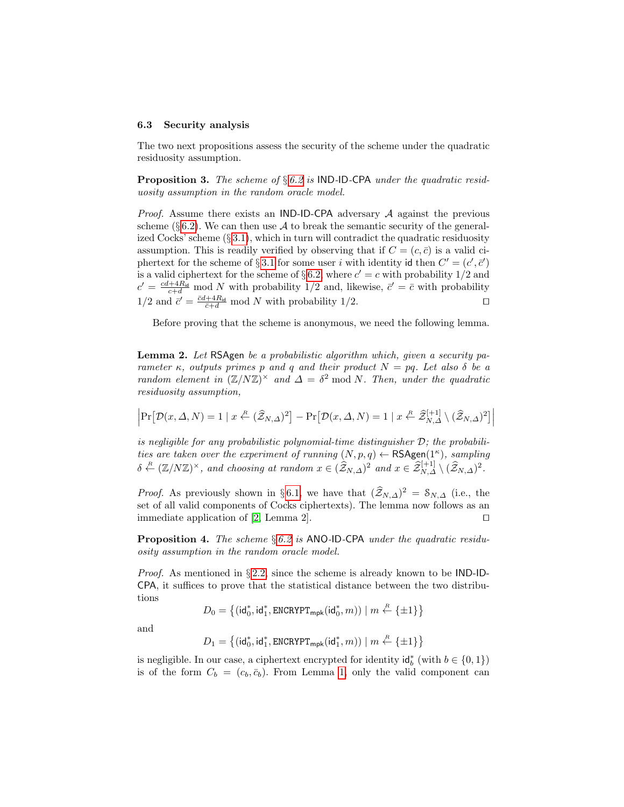#### 6.3 Security analysis

The two next propositions assess the security of the scheme under the quadratic residuosity assumption.

**Proposition 3.** The scheme of  $\S 6.2$  $\S 6.2$  is IND-ID-CPA under the quadratic residuosity assumption in the random oracle model.

*Proof.* Assume there exists an IND-ID-CPA adversary  $A$  against the previous scheme ( $\S 6.2$ ). We can then use A to break the semantic security of the generalized Cocks' scheme  $(\S 3.1)$  $(\S 3.1)$ , which in turn will contradict the quadratic residuosity assumption. This is readily verified by observing that if  $C = (c, \bar{c})$  is a valid ci-phertext for the scheme of § [3.1](#page-6-1) for some user i with identity id then  $C' = (c', \bar{c}')$ is a valid ciphertext for the scheme of §[6.2,](#page-15-1) where  $c' = c$  with probability 1/2 and  $c' = \frac{cd+4R_{id}}{c+d} \mod N$  with probability 1/2 and, likewise,  $\bar{c}' = \bar{c}$  with probability  $1/2$  and  $\bar{c}' = \frac{\bar{c}d + 4R_{id}}{\bar{c} + d} \mod N$  with probability  $1/2$ .

<span id="page-16-0"></span>Before proving that the scheme is anonymous, we need the following lemma.

Lemma 2. Let RSAgen be a probabilistic algorithm which, given a security parameter κ, outputs primes p and q and their product  $N = pq$ . Let also  $\delta$  be a random element in  $(\mathbb{Z}/N\mathbb{Z})^{\times}$  and  $\Delta = \delta^2$  mod N. Then, under the quadratic residuosity assumption,

$$
\left|\Pr\left[\mathcal{D}(x,\Delta,N)=1 \mid x \stackrel{R}{\leftarrow} (\widehat{\mathcal{Z}}_{N,\Delta})^2\right] - \Pr\left[\mathcal{D}(x,\Delta,N)=1 \mid x \stackrel{R}{\leftarrow} \widehat{\mathcal{Z}}_{N,\Delta}^{[+1]} \setminus (\widehat{\mathcal{Z}}_{N,\Delta})^2\right]\right|\right.
$$

is negligible for any probabilistic polynomial-time distinguisher  $D$ ; the probabilities are taken over the experiment of running  $(N, p, q) \leftarrow \mathsf{RSAgen}(1^{\kappa})$ , sampling  $\delta \in (\mathbb{Z}/N\mathbb{Z})^{\times}$ , and choosing at random  $x \in (\widehat{Z}_{N,\Delta})^2$  and  $x \in \widehat{Z}_{N,\Delta}^{[+1]} \setminus (\widehat{Z}_{N,\Delta})^2$ .

*Proof.* As previously shown in §[6.1,](#page-13-0) we have that  $(\hat{Z}_{N,\Delta})^2 = \mathcal{S}_{N,\Delta}$  (i.e., the set of all valid components of Cocks ciphertexts). The lemma now follows as an immediate application of  $|2$ , Lemma 2.

**Proposition 4.** The scheme  $\S 6.2$  $\S 6.2$  is ANO-ID-CPA under the quadratic residuosity assumption in the random oracle model.

*Proof.* As mentioned in  $\S 2.2$ , since the scheme is already known to be **IND-ID-**CPA, it suffices to prove that the statistical distance between the two distributions

$$
D_0 = \left\{(\mathsf{id}_0^*, \mathsf{id}_1^*, \texttt{ENCRYPT}_{\mathsf{mpk}}(\mathsf{id}_0^*, m)) \mid m \xleftarrow{R} \{\pm 1\}\right\}
$$

and

$$
D_1 = \left\{(\mathsf{id}_0^*, \mathsf{id}_1^*, \mathsf{ENCRYPT_{mpk}}(\mathsf{id}_1^*, m)) \mid m \stackrel{R}{\leftarrow} \{\pm 1\}\right\}
$$

is negligible. In our case, a ciphertext encrypted for identity  $\mathsf{id}_{b}^{*}$  (with  $b \in \{0,1\}$ ) is of the form  $C_b = (c_b, \bar{c}_b)$ . From Lemma [1,](#page-10-0) only the valid component can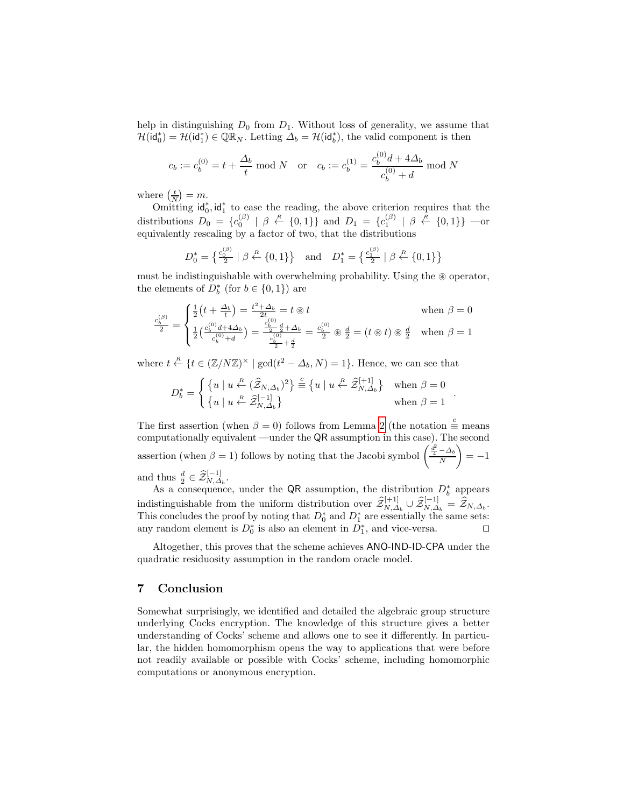help in distinguishing  $D_0$  from  $D_1$ . Without loss of generality, we assume that  $\mathcal{H}(\mathsf{id}_0^*) = \mathcal{H}(\mathsf{id}_1^*) \in \mathbb{QR}_N$ . Letting  $\Delta_b = \mathcal{H}(\mathsf{id}_b^*)$ , the valid component is then

$$
c_b := c_b^{(0)} = t + \frac{\Delta_b}{t} \mod N
$$
 or  $c_b := c_b^{(1)} = \frac{c_b^{(0)}d + 4\Delta_b}{c_b^{(0)} + d} \mod N$ 

where  $\left(\frac{t}{N}\right) = m$ .

Omitting  $\mathsf{id}_0^*$ ,  $\mathsf{id}_1^*$  to ease the reading, the above criterion requires that the distributions  $D_0 = \{c_0^{(\beta)} \mid \beta \stackrel{R}{\leftarrow} \{0,1\}\}\$ and  $D_1 = \{c_1^{(\beta)} \mid \beta \stackrel{R}{\leftarrow} \{0,1\}\}\$  --or equivalently rescaling by a factor of two, that the distributions

$$
D_0^* = \left\{ \frac{c_0^{(\beta)}}{2} \mid \beta \stackrel{R}{\leftarrow} \{0, 1\} \right\} \text{ and } D_1^* = \left\{ \frac{c_1^{(\beta)}}{2} \mid \beta \stackrel{R}{\leftarrow} \{0, 1\} \right\}
$$

must be indistinguishable with overwhelming probability. Using the  $\otimes$  operator, the elements of  $D_b^*$  (for  $b \in \{0,1\}$ ) are

$$
\frac{c_b^{(\beta)}}{2} = \begin{cases} \frac{1}{2} \left( t + \frac{\Delta_b}{t} \right) = \frac{t^2 + \Delta_b}{2t} = t \circledast t & \text{when } \beta = 0\\ \frac{1}{2} \left( \frac{c_b^{(0)} d + 4 \Delta_b}{c_b^{(0)} + d} \right) = \frac{\frac{c_b}{2} - \frac{d}{2} + \Delta_b}{\frac{c_b^{(0)}}{2} + \frac{d}{2}} = \frac{c_b^{(0)}}{2} \circledast \frac{d}{2} = (t \circledast t) \circledast \frac{d}{2} & \text{when } \beta = 1 \end{cases}
$$

where  $t \stackrel{R}{\leftarrow} \{t \in (\mathbb{Z}/N\mathbb{Z})^{\times} \mid \gcd(t^2 - \Delta_b, N) = 1\}.$  Hence, we can see that

$$
D_b^* = \begin{cases} \{u \mid u \stackrel{R}{\leftarrow} (\widehat{\mathcal{Z}}_{N,\Delta_b})^2 \} \stackrel{c}{\equiv} \{u \mid u \stackrel{R}{\leftarrow} \widehat{\mathcal{Z}}_{N,\Delta_b}^{[+1]} \} & \text{when } \beta = 0 \\ \{u \mid u \stackrel{R}{\leftarrow} \widehat{\mathcal{Z}}_{N,\Delta_b}^{[-1]} \} & \text{when } \beta = 1 \end{cases}.
$$

The first assertion (when  $\beta = 0$ ) follows from Lemma [2](#page-16-0) (the notation  $\stackrel{c}{=}$  means computationally equivalent —under the QR assumption in this case). The second assertion (when  $\beta = 1$ ) follows by noting that the Jacobi symbol  $\left(\frac{\frac{\beta}{4} - \Delta_b}{N}\right)$ N  $= -1$ and thus  $\frac{d}{2} \in \widehat{\mathcal{Z}}_{N,\Delta_b}^{[-1]}$ .

As a consequence, under the QR assumption, the distribution  $D_b^*$  appears indistinguishable from the uniform distribution over  $\hat{\mathcal{Z}}_{N,\Delta_b}^{[+1]} \cup \hat{\mathcal{Z}}_{N,\Delta_b}^{[-1]} = \hat{\mathcal{Z}}_{N,\Delta_b}$ . This concludes the proof by noting that  $D_0^*$  and  $D_1^*$  are essentially the same sets: any random element is  $D_0^*$  is also an element in  $D_1^*$ , and vice-versa.

Altogether, this proves that the scheme achieves ANO-IND-ID-CPA under the quadratic residuosity assumption in the random oracle model.

# 7 Conclusion

Somewhat surprisingly, we identified and detailed the algebraic group structure underlying Cocks encryption. The knowledge of this structure gives a better understanding of Cocks' scheme and allows one to see it differently. In particular, the hidden homomorphism opens the way to applications that were before not readily available or possible with Cocks' scheme, including homomorphic computations or anonymous encryption.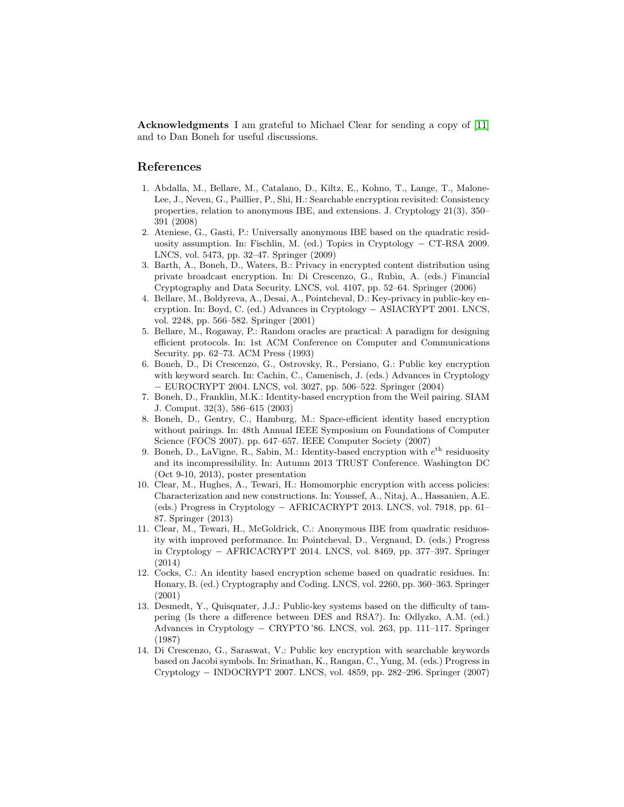Acknowledgments I am grateful to Michael Clear for sending a copy of [\[11\]](#page-18-6) and to Dan Boneh for useful discussions.

# References

- <span id="page-18-10"></span>1. Abdalla, M., Bellare, M., Catalano, D., Kiltz, E., Kohno, T., Lange, T., Malone-Lee, J., Neven, G., Paillier, P., Shi, H.: Searchable encryption revisited: Consistency properties, relation to anonymous IBE, and extensions. J. Cryptology 21(3), 350– 391 (2008)
- <span id="page-18-5"></span>2. Ateniese, G., Gasti, P.: Universally anonymous IBE based on the quadratic residuosity assumption. In: Fischlin, M. (ed.) Topics in Cryptology − CT-RSA 2009. LNCS, vol. 5473, pp. 32–47. Springer (2009)
- <span id="page-18-12"></span>3. Barth, A., Boneh, D., Waters, B.: Privacy in encrypted content distribution using private broadcast encryption. In: Di Crescenzo, G., Rubin, A. (eds.) Financial Cryptography and Data Security. LNCS, vol. 4107, pp. 52–64. Springer (2006)
- <span id="page-18-9"></span>4. Bellare, M., Boldyreva, A., Desai, A., Pointcheval, D.: Key-privacy in public-key encryption. In: Boyd, C. (ed.) Advances in Cryptology − ASIACRYPT 2001. LNCS, vol. 2248, pp. 566–582. Springer (2001)
- <span id="page-18-11"></span>5. Bellare, M., Rogaway, P.: Random oracles are practical: A paradigm for designing efficient protocols. In: 1st ACM Conference on Computer and Communications Security. pp. 62–73. ACM Press (1993)
- <span id="page-18-13"></span>6. Boneh, D., Di Crescenzo, G., Ostrovsky, R., Persiano, G.: Public key encryption with keyword search. In: Cachin, C., Camenisch, J. (eds.) Advances in Cryptology − EUROCRYPT 2004. LNCS, vol. 3027, pp. 506–522. Springer (2004)
- <span id="page-18-1"></span>7. Boneh, D., Franklin, M.K.: Identity-based encryption from the Weil pairing. SIAM J. Comput. 32(3), 586–615 (2003)
- <span id="page-18-4"></span>8. Boneh, D., Gentry, C., Hamburg, M.: Space-efficient identity based encryption without pairings. In: 48th Annual IEEE Symposium on Foundations of Computer Science (FOCS 2007). pp. 647–657. IEEE Computer Society (2007)
- <span id="page-18-8"></span>9. Boneh, D., LaVigne, R., Sabin, M.: Identity-based encryption with  $e^{th}$  residuosity and its incompressibility. In: Autumn 2013 TRUST Conference. Washington DC (Oct 9-10, 2013), poster presentation
- <span id="page-18-7"></span>10. Clear, M., Hughes, A., Tewari, H.: Homomorphic encryption with access policies: Characterization and new constructions. In: Youssef, A., Nitaj, A., Hassanien, A.E. (eds.) Progress in Cryptology − AFRICACRYPT 2013. LNCS, vol. 7918, pp. 61– 87. Springer (2013)
- <span id="page-18-6"></span>11. Clear, M., Tewari, H., McGoldrick, C.: Anonymous IBE from quadratic residuosity with improved performance. In: Pointcheval, D., Vergnaud, D. (eds.) Progress in Cryptology − AFRICACRYPT 2014. LNCS, vol. 8469, pp. 377–397. Springer (2014)
- <span id="page-18-2"></span>12. Cocks, C.: An identity based encryption scheme based on quadratic residues. In: Honary, B. (ed.) Cryptography and Coding. LNCS, vol. 2260, pp. 360–363. Springer (2001)
- <span id="page-18-0"></span>13. Desmedt, Y., Quisquater, J.J.: Public-key systems based on the difficulty of tampering (Is there a difference between DES and RSA?). In: Odlyzko, A.M. (ed.) Advances in Cryptology − CRYPTO '86. LNCS, vol. 263, pp. 111–117. Springer (1987)
- <span id="page-18-3"></span>14. Di Crescenzo, G., Saraswat, V.: Public key encryption with searchable keywords based on Jacobi symbols. In: Srinathan, K., Rangan, C., Yung, M. (eds.) Progress in Cryptology − INDOCRYPT 2007. LNCS, vol. 4859, pp. 282–296. Springer (2007)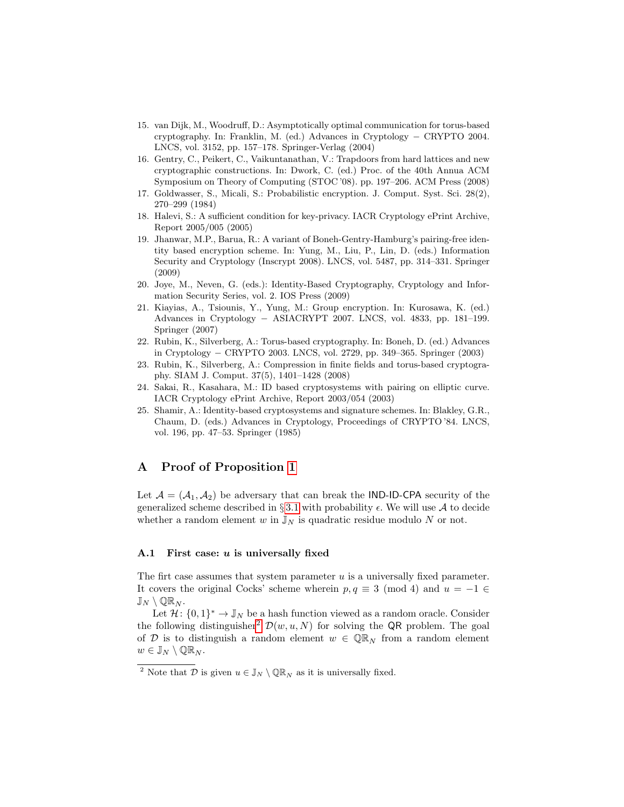- <span id="page-19-10"></span>15. van Dijk, M., Woodruff, D.: Asymptotically optimal communication for torus-based cryptography. In: Franklin, M. (ed.) Advances in Cryptology − CRYPTO 2004. LNCS, vol. 3152, pp. 157–178. Springer-Verlag (2004)
- <span id="page-19-3"></span>16. Gentry, C., Peikert, C., Vaikuntanathan, V.: Trapdoors from hard lattices and new cryptographic constructions. In: Dwork, C. (ed.) Proc. of the 40th Annua ACM Symposium on Theory of Computing (STOC '08). pp. 197–206. ACM Press (2008)
- <span id="page-19-7"></span>17. Goldwasser, S., Micali, S.: Probabilistic encryption. J. Comput. Syst. Sci. 28(2), 270–299 (1984)
- <span id="page-19-8"></span>18. Halevi, S.: A sufficient condition for key-privacy. IACR Cryptology ePrint Archive, Report 2005/005 (2005)
- <span id="page-19-4"></span>19. Jhanwar, M.P., Barua, R.: A variant of Boneh-Gentry-Hamburg's pairing-free identity based encryption scheme. In: Yung, M., Liu, P., Lin, D. (eds.) Information Security and Cryptology (Inscrypt 2008). LNCS, vol. 5487, pp. 314–331. Springer (2009)
- <span id="page-19-1"></span>20. Joye, M., Neven, G. (eds.): Identity-Based Cryptography, Cryptology and Information Security Series, vol. 2. IOS Press (2009)
- <span id="page-19-11"></span>21. Kiayias, A., Tsiounis, Y., Yung, M.: Group encryption. In: Kurosawa, K. (ed.) Advances in Cryptology − ASIACRYPT 2007. LNCS, vol. 4833, pp. 181–199. Springer (2007)
- <span id="page-19-6"></span>22. Rubin, K., Silverberg, A.: Torus-based cryptography. In: Boneh, D. (ed.) Advances in Cryptology − CRYPTO 2003. LNCS, vol. 2729, pp. 349–365. Springer (2003)
- <span id="page-19-5"></span>23. Rubin, K., Silverberg, A.: Compression in finite fields and torus-based cryptography. SIAM J. Comput. 37(5), 1401–1428 (2008)
- <span id="page-19-2"></span>24. Sakai, R., Kasahara, M.: ID based cryptosystems with pairing on elliptic curve. IACR Cryptology ePrint Archive, Report 2003/054 (2003)
- <span id="page-19-0"></span>25. Shamir, A.: Identity-based cryptosystems and signature schemes. In: Blakley, G.R., Chaum, D. (eds.) Advances in Cryptology, Proceedings of CRYPTO '84. LNCS, vol. 196, pp. 47–53. Springer (1985)

# <span id="page-19-9"></span>A Proof of Proposition [1](#page-7-0)

Let  $A = (A_1, A_2)$  be adversary that can break the IND-ID-CPA security of the generalized scheme described in § [3.1](#page-6-1) with probability  $\epsilon$ . We will use A to decide whether a random element w in  $\mathbb{J}_N$  is quadratic residue modulo N or not.

### A.1 First case: u is universally fixed

The firt case assumes that system parameter  $u$  is a universally fixed parameter. It covers the original Cocks' scheme wherein  $p, q \equiv 3 \pmod{4}$  and  $u = -1 \in$  $J_N \setminus \mathbb{Q} \mathbb{R}_N$ .

Let  $\mathcal{H}$ :  $\{0,1\}^* \to \mathbb{J}_N$  be a hash function viewed as a random oracle. Consider the following distinguisher<sup>[2](#page-19-12)</sup>  $\mathcal{D}(w, u, N)$  for solving the QR problem. The goal of D is to distinguish a random element  $w \in \mathbb{Q}\mathbb{R}_N$  from a random element  $w \in \mathbb{J}_N \setminus \mathbb{Q} \mathbb{R}_N$ .

<span id="page-19-12"></span><sup>&</sup>lt;sup>2</sup> Note that  $\mathcal D$  is given  $u \in \mathbb{J}_N \setminus \mathbb{QR}_N$  as it is universally fixed.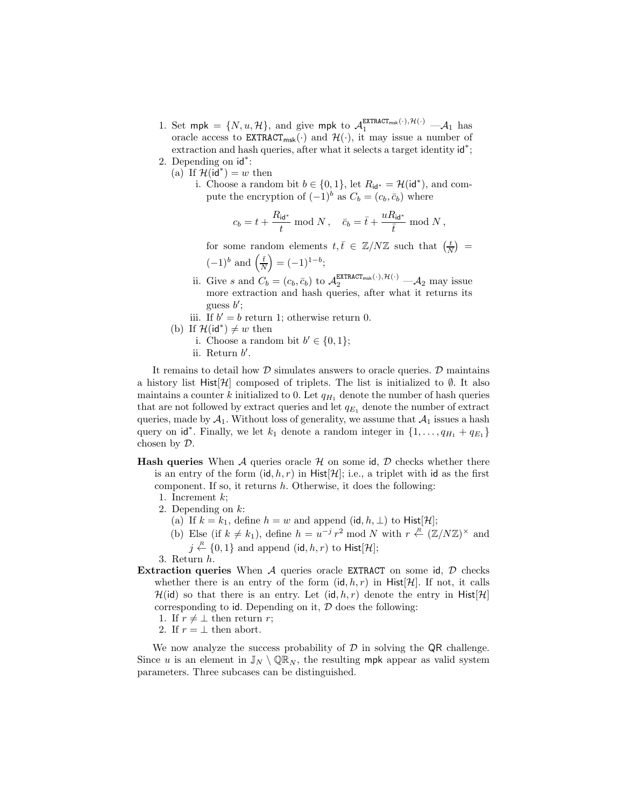- 1. Set mpk =  $\{N, u, \mathcal{H}\}\$ , and give mpk to  $\mathcal{A}_1^{\text{EXTRACT}_{\text{msk}}(\cdot), \mathcal{H}(\cdot)}$   $-\mathcal{A}_1$  has oracle access to  $\text{EXTRACT}_{\text{msk}}(\cdot)$  and  $\mathcal{H}(\cdot)$ , it may issue a number of extraction and hash queries, after what it selects a target identity id<sup>\*</sup>;
- 2. Depending on id<sup>\*</sup>:
	- (a) If  $\mathcal{H}(\mathsf{id}^*)=w$  then
		- i. Choose a random bit  $b \in \{0,1\}$ , let  $R_{\mathsf{id}^*} = \mathcal{H}(\mathsf{id}^*)$ , and compute the encryption of  $(-1)^b$  as  $C_b = (c_b, \bar{c}_b)$  where

$$
c_b = t + \frac{R_{\mathsf{id}^*}}{t} \mod N
$$
,  $\bar{c}_b = \bar{t} + \frac{uR_{\mathsf{id}^*}}{\bar{t}} \mod N$ ,

for some random elements  $t, \bar{t} \in \mathbb{Z}/N\mathbb{Z}$  such that  $\left(\frac{t}{N}\right)$  =

- $(-1)^b$  and  $\left(\frac{\bar{t}}{N}\right) = (-1)^{1-b};$
- ii. Give s and  $C_b = (c_b, \bar{c}_b)$  to  $\mathcal{A}_2^{\texttt{EXTRACT}_{\text{msk}}(\cdot), \mathcal{H}(\cdot)}$   $-\mathcal{A}_2$  may issue more extraction and hash queries, after what it returns its guess  $b$ <sup>'</sup>;
- iii. If  $b' = b$  return 1; otherwise return 0.
- (b) If  $\mathcal{H}(\mathsf{id}^*) \neq w$  then
	- i. Choose a random bit  $b' \in \{0, 1\};$
	- ii. Return  $b'$ .

It remains to detail how  $D$  simulates answers to oracle queries.  $D$  maintains a history list Hist $[\mathcal{H}]$  composed of triplets. The list is initialized to  $\emptyset$ . It also maintains a counter k initialized to 0. Let  $q_{H_1}$  denote the number of hash queries that are not followed by extract queries and let  $q_{E_1}$  denote the number of extract queries, made by  $A_1$ . Without loss of generality, we assume that  $A_1$  issues a hash query on id<sup>\*</sup>. Finally, we let  $k_1$  denote a random integer in  $\{1, \ldots, q_{H_1} + q_{E_1}\}$ chosen by D.

**Hash queries** When A queries oracle H on some id, D checks whether there is an entry of the form  $(id, h, r)$  in Hist[H]; i.e., a triplet with id as the first component. If so, it returns  $h$ . Otherwise, it does the following:

- 1. Increment  $k$ ;
- 2. Depending on  $k$ :
	- (a) If  $k = k_1$ , define  $h = w$  and append (id,  $h, \perp$ ) to Hist[H];
	- (b) Else (if  $k \neq k_1$ ), define  $h = u^{-j} r^2 \text{ mod } N$  with  $r \stackrel{R}{\leftarrow} (\mathbb{Z}/N\mathbb{Z})^{\times}$  and  $j \stackrel{R}{\leftarrow} \{0,1\}$  and append  $(id, h, r)$  to  $Hist[\mathcal{H}];$
- 3. Return h.
- **Extraction queries** When A queries oracle **EXTRACT** on some id,  $D$  checks whether there is an entry of the form  $(id, h, r)$  in Hist $[\mathcal{H}]$ . If not, it calls  $\mathcal{H}$ (id) so that there is an entry. Let (id, h, r) denote the entry in Hist[H] corresponding to id. Depending on it,  $D$  does the following:
	- 1. If  $r \neq \perp$  then return r;
	- 2. If  $r = \perp$  then abort.

We now analyze the success probability of  $\mathcal D$  in solving the QR challenge. Since u is an element in  $\mathbb{J}_N \setminus \mathbb{Q}\mathbb{R}_N$ , the resulting mpk appear as valid system parameters. Three subcases can be distinguished.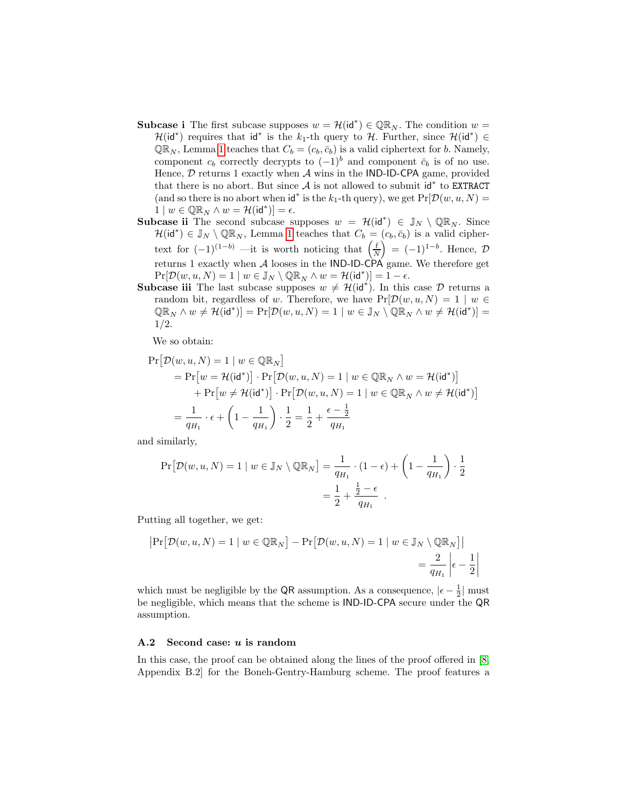- **Subcase i** The first subcase supposes  $w = \mathcal{H}(\mathsf{id}^*) \in \mathbb{Q}\mathbb{R}_N$ . The condition  $w =$  $\mathcal{H}(\mathsf{id}^*)$  requires that  $\mathsf{id}^*$  is the  $k_1$ -th query to  $\mathcal{H}$ . Further, since  $\mathcal{H}(\mathsf{id}^*) \in$  $\mathbb{QR}_N$ , Lemma [1](#page-10-0) teaches that  $C_b = (c_b, \bar{c}_b)$  is a valid ciphertext for b. Namely, component  $c_b$  correctly decrypts to  $(-1)^b$  and component  $\bar{c}_b$  is of no use. Hence,  $D$  returns 1 exactly when  $A$  wins in the IND-ID-CPA game, provided that there is no abort. But since  $A$  is not allowed to submit  $\mathsf{id}^*$  to EXTRACT (and so there is no abort when  $\mathsf{id}^*$  is the  $k_1$ -th query), we get  $\Pr[\mathcal{D}(w, u, N)]$  $1 \mid w \in \mathbb{QR}_N \wedge w = \mathcal{H}(\mathsf{id}^*)] = \epsilon.$
- **Subcase ii** The second subcase supposes  $w = \mathcal{H}(\mathsf{id}^*) \in \mathbb{J}_N \setminus \mathbb{Q} \mathbb{R}_N$ . Since  $\mathcal{H}(\mathsf{id}^*) \in \mathbb{J}_N \setminus \mathbb{Q} \mathbb{R}_N$ , Lemma [1](#page-10-0) teaches that  $C_b = (c_b, \bar{c}_b)$  is a valid ciphertext for  $(-1)^{(1-b)}$  —it is worth noticing that  $\left(\frac{\bar{t}}{N}\right) = (-1)^{1-b}$ . Hence,  $\mathcal{D}$ returns 1 exactly when  $A$  looses in the IND-ID-CPA game. We therefore get  $Pr[\mathcal{D}(w, u, N) = 1 \mid w \in \mathbb{J}_N \setminus \mathbb{Q} \mathbb{R}_N \wedge w = \mathcal{H}(\mathsf{id}^*)] = 1 - \epsilon.$
- **Subcase iii** The last subcase supposes  $w \neq \mathcal{H}(\mathsf{id}^*)$ . In this case  $\mathcal{D}$  returns a random bit, regardless of w. Therefore, we have  $Pr[\mathcal{D}(w, u, N) = 1 | w \in$  $\mathbb{Q}\mathbb{R}_N \wedge w \neq \mathcal{H}(\mathsf{id}^*)]=\Pr[\mathcal{D}(w,u,N)=1 \mid w\in \mathbb{J}_N \setminus \mathbb{Q}\mathbb{R}_N \wedge w \neq \mathcal{H}(\mathsf{id}^*)]=$ 1/2.

We so obtain:

$$
\Pr[\mathcal{D}(w, u, N) = 1 \mid w \in \mathbb{Q}\mathbb{R}_N]
$$
  
= 
$$
\Pr[w = \mathcal{H}(\mathsf{id}^*)] \cdot \Pr[\mathcal{D}(w, u, N) = 1 \mid w \in \mathbb{Q}\mathbb{R}_N \land w = \mathcal{H}(\mathsf{id}^*)]
$$
  
+ 
$$
\Pr[w \neq \mathcal{H}(\mathsf{id}^*)] \cdot \Pr[\mathcal{D}(w, u, N) = 1 \mid w \in \mathbb{Q}\mathbb{R}_N \land w \neq \mathcal{H}(\mathsf{id}^*)]
$$
  
= 
$$
\frac{1}{q_{H_1}} \cdot \epsilon + \left(1 - \frac{1}{q_{H_1}}\right) \cdot \frac{1}{2} = \frac{1}{2} + \frac{\epsilon - \frac{1}{2}}{q_{H_1}}
$$

and similarly,

$$
\Pr[\mathcal{D}(w, u, N) = 1 \mid w \in \mathbb{J}_N \setminus \mathbb{Q}\mathbb{R}_N] = \frac{1}{q_{H_1}} \cdot (1 - \epsilon) + \left(1 - \frac{1}{q_{H_1}}\right) \cdot \frac{1}{2}
$$

$$
= \frac{1}{2} + \frac{\frac{1}{2} - \epsilon}{q_{H_1}}.
$$

Putting all together, we get:

$$
|\Pr[\mathcal{D}(w, u, N) = 1 \mid w \in \mathbb{QR}_N] - \Pr[\mathcal{D}(w, u, N) = 1 \mid w \in \mathbb{J}_N \setminus \mathbb{QR}_N] |
$$
  
=  $\frac{2}{q_{H_1}} \left| \epsilon - \frac{1}{2} \right|$ 

which must be negligible by the QR assumption. As a consequence,  $|\epsilon - \frac{1}{2}|$  must be negligible, which means that the scheme is IND-ID-CPA secure under the QR assumption.

#### A.2 Second case: u is random

In this case, the proof can be obtained along the lines of the proof offered in [\[8,](#page-18-4) Appendix B.2] for the Boneh-Gentry-Hamburg scheme. The proof features a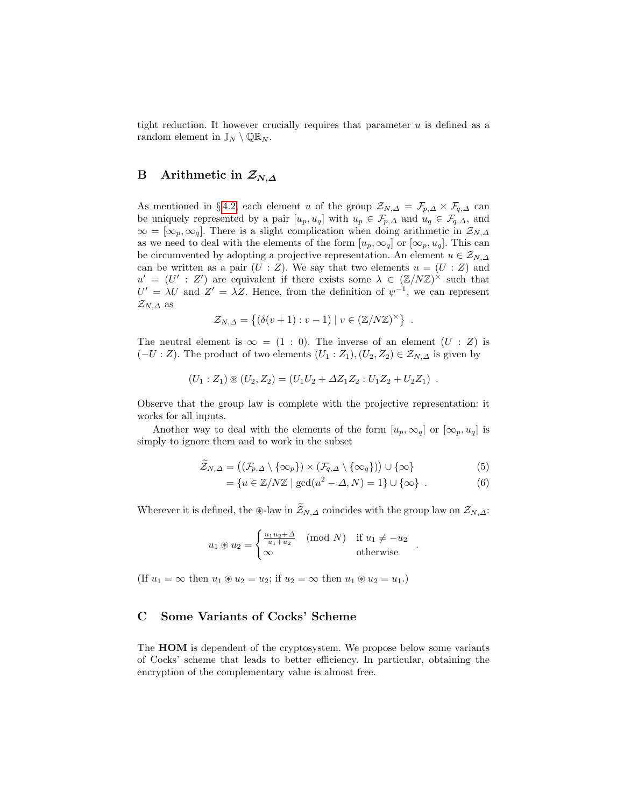tight reduction. It however crucially requires that parameter  $u$  is defined as a random element in  $\mathbb{J}_N \setminus \mathbb{Q}\mathbb{R}_N$ .

# <span id="page-22-0"></span>B Arithmetic in  $\mathcal{Z}_{N,A}$

As mentioned in §[4.2,](#page-8-1) each element u of the group  $\mathcal{Z}_{N,\Delta} = \mathcal{F}_{p,\Delta} \times \mathcal{F}_{q,\Delta}$  can be uniquely represented by a pair  $[u_p, u_q]$  with  $u_p \in \mathcal{F}_{p,\Delta}$  and  $u_q \in \mathcal{F}_{q,\Delta}$ , and  $\infty = [\infty_p, \infty_q]$ . There is a slight complication when doing arithmetic in  $\mathcal{Z}_{N,\Delta}$ as we need to deal with the elements of the form  $[u_p, \infty_q]$  or  $[\infty_p, u_q]$ . This can be circumvented by adopting a projective representation. An element  $u \in \mathcal{Z}_{N,\Delta}$ can be written as a pair  $(U : Z)$ . We say that two elements  $u = (U : Z)$  and  $u' = (U' : Z')$  are equivalent if there exists some  $\lambda \in (\mathbb{Z}/N\mathbb{Z})^{\times}$  such that  $U' = \lambda U$  and  $Z' = \lambda Z$ . Hence, from the definition of  $\psi^{-1}$ , we can represent  $\mathcal{Z}_{N,\Delta}$  as

$$
\mathcal{Z}_{N,\Delta} = \{ (\delta(v+1) : v-1) \mid v \in (\mathbb{Z}/N\mathbb{Z})^{\times} \} .
$$

The neutral element is  $\infty = (1 : 0)$ . The inverse of an element  $(U : Z)$  is  $(-U : Z)$ . The product of two elements  $(U_1 : Z_1), (U_2, Z_2) \in \mathcal{Z}_{N,\Delta}$  is given by

$$
(U_1:Z_1) \circledast (U_2,Z_2) = (U_1U_2 + \Delta Z_1Z_2 : U_1Z_2 + U_2Z_1) .
$$

Observe that the group law is complete with the projective representation: it works for all inputs.

Another way to deal with the elements of the form  $[u_p, \infty_q]$  or  $[\infty_p, u_q]$  is simply to ignore them and to work in the subset

$$
\widetilde{\mathcal{Z}}_{N,\Delta} = \left( (\mathcal{F}_{p,\Delta} \setminus \{\infty_p\}) \times (\mathcal{F}_{q,\Delta} \setminus \{\infty_q\}) \right) \cup \{\infty\} \tag{5}
$$

$$
= \{ u \in \mathbb{Z}/N\mathbb{Z} \mid \gcd(u^2 - \Delta, N) = 1 \} \cup \{ \infty \} .
$$
 (6)

<span id="page-22-3"></span><span id="page-22-2"></span>.

Wherever it is defined, the  $\mathcal{Z}_{N,\Delta}$  coincides with the group law on  $\mathcal{Z}_{N,\Delta}$ :

$$
u_1 \circledast u_2 = \begin{cases} \frac{u_1 u_2 + \Delta}{u_1 + u_2} & (\text{mod } N) & \text{if } u_1 \neq -u_2\\ \infty & \text{otherwise} \end{cases}
$$

(If  $u_1 = \infty$  then  $u_1 \circledast u_2 = u_2$ ; if  $u_2 = \infty$  then  $u_1 \circledast u_2 = u_1$ .)

# <span id="page-22-1"></span>C Some Variants of Cocks' Scheme

The HOM is dependent of the cryptosystem. We propose below some variants of Cocks' scheme that leads to better efficiency. In particular, obtaining the encryption of the complementary value is almost free.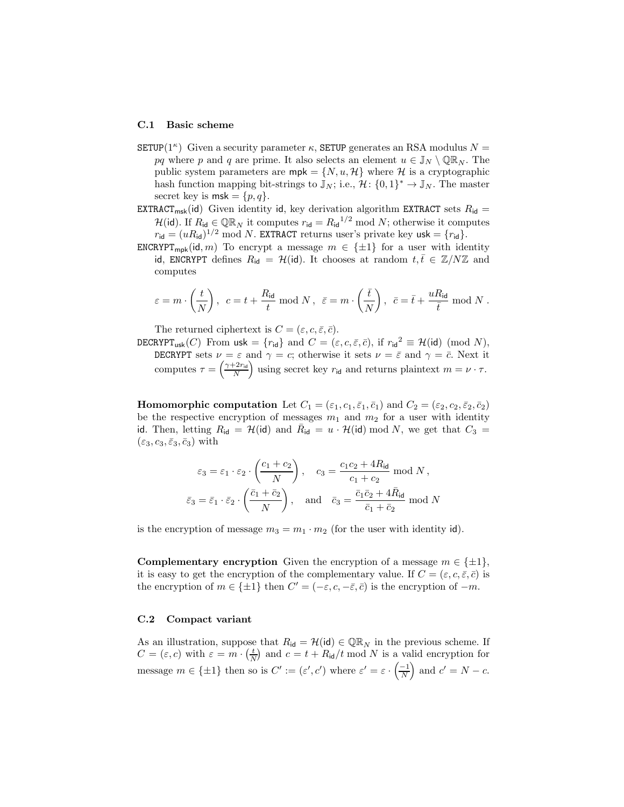#### C.1 Basic scheme

- SETUP( $1^{\kappa}$ ) Given a security parameter  $\kappa$ , SETUP generates an RSA modulus  $N =$ pq where p and q are prime. It also selects an element  $u \in \mathbb{J}_N \setminus \mathbb{QR}_N$ . The public system parameters are  $mpk = \{N, u, H\}$  where H is a cryptographic hash function mapping bit-strings to  $\mathbb{J}_N$ ; i.e.,  $\mathcal{H} \colon \{0,1\}^* \to \mathbb{J}_N$ . The master secret key is  $\mathsf{msk} = \{p, q\}.$
- EXTRACT<sub>msk</sub>(id) Given identity id, key derivation algorithm EXTRACT sets  $R_{id}$  =  $\mathcal{H}(\mathsf{id})$ . If  $R_{\mathsf{id}} \in \mathbb{Q}\mathbb{R}_N$  it computes  $r_{\mathsf{id}} = R_{\mathsf{id}}^{1/2} \bmod N$ ; otherwise it computes  $r_{\mathsf{id}} = (uR_{\mathsf{id}})^{1/2} \bmod N$ . EXTRACT returns user's private key usk = { $r_{\mathsf{id}}$ }.
- ENCRYPT<sub>mpk</sub>(id, m) To encrypt a message  $m \in \{\pm 1\}$  for a user with identity id, ENCRYPT defines  $R_{\text{id}} = \mathcal{H}(\text{id})$ . It chooses at random  $t, \bar{t} \in \mathbb{Z}/N\mathbb{Z}$  and computes

$$
\varepsilon=m\cdot\left(\frac{t}{N}\right),\;\; c=t+\frac{R_{\mathsf{id}}}{t}\;\text{mod}\;N\,,\;\; \bar{\varepsilon}=m\cdot\left(\frac{\bar{t}}{N}\right),\;\;\bar{c}=\bar{t}+\frac{uR_{\mathsf{id}}}{\bar{t}}\;\text{mod}\;N\;.
$$

The returned ciphertext is  $C = (\varepsilon, c, \bar{\varepsilon}, \bar{c}).$ 

DECRYPT<sub>usk</sub>(C) From usk = { $r_{\text{id}}$ } and  $C = (\varepsilon, c, \bar{\varepsilon}, \bar{c})$ , if  $r_{\text{id}}^2 \equiv \mathcal{H}(\text{id}) \pmod{N}$ , DECRYPT sets  $\nu = \varepsilon$  and  $\gamma = c$ ; otherwise it sets  $\nu = \bar{\varepsilon}$  and  $\gamma = \bar{c}$ . Next it computes  $\tau = \left(\frac{\gamma + 2r_{\text{id}}}{N}\right)$  $\left(\frac{P^2 r_{\text{id}}}{N}\right)$  using secret key  $r_{\text{id}}$  and returns plaintext  $m = \nu \cdot \tau$ .

**Homomorphic computation** Let  $C_1 = (\varepsilon_1, c_1, \bar{\varepsilon}_1, \bar{c}_1)$  and  $C_2 = (\varepsilon_2, c_2, \bar{\varepsilon}_2, \bar{c}_2)$ be the respective encryption of messages  $m_1$  and  $m_2$  for a user with identity id. Then, letting  $R_{id} = \mathcal{H}(id)$  and  $\overline{R}_{id} = u \cdot \mathcal{H}(id) \mod N$ , we get that  $C_3 =$  $(\varepsilon_3, c_3, \bar{\varepsilon}_3, \bar{c}_3)$  with

$$
\varepsilon_3 = \varepsilon_1 \cdot \varepsilon_2 \cdot \left(\frac{c_1 + c_2}{N}\right), \quad c_3 = \frac{c_1 c_2 + 4R_{\text{id}}}{c_1 + c_2} \mod N,
$$
  

$$
\bar{\varepsilon}_3 = \bar{\varepsilon}_1 \cdot \bar{\varepsilon}_2 \cdot \left(\frac{\bar{c}_1 + \bar{c}_2}{N}\right), \quad \text{and} \quad \bar{c}_3 = \frac{\bar{c}_1 \bar{c}_2 + 4\bar{R}_{\text{id}}}{\bar{c}_1 + \bar{c}_2} \mod N
$$

is the encryption of message  $m_3 = m_1 \cdot m_2$  (for the user with identity id).

**Complementary encryption** Given the encryption of a message  $m \in \{\pm 1\}$ , it is easy to get the encryption of the complementary value. If  $C = (\varepsilon, c, \bar{\varepsilon}, \bar{c})$  is the encryption of  $m \in {\pm 1}$  then  $C' = (-\varepsilon, c, -\overline{\varepsilon}, \overline{c})$  is the encryption of  $-m$ .

### C.2 Compact variant

As an illustration, suppose that  $R_{\text{id}} = \mathcal{H}(\text{id}) \in \mathbb{Q}\mathbb{R}_N$  in the previous scheme. If  $C = (\varepsilon, c)$  with  $\varepsilon = m \cdot (\frac{t}{N})$  and  $c = t + R_{\mathsf{id}}/t$  mod N is a valid encryption for message  $m \in {\pm 1}$  then so is  $C' := (\varepsilon', c')$  where  $\varepsilon' = \varepsilon \cdot \left(\frac{-1}{N}\right)$  $\frac{-1}{N}$  and  $c' = N - c$ .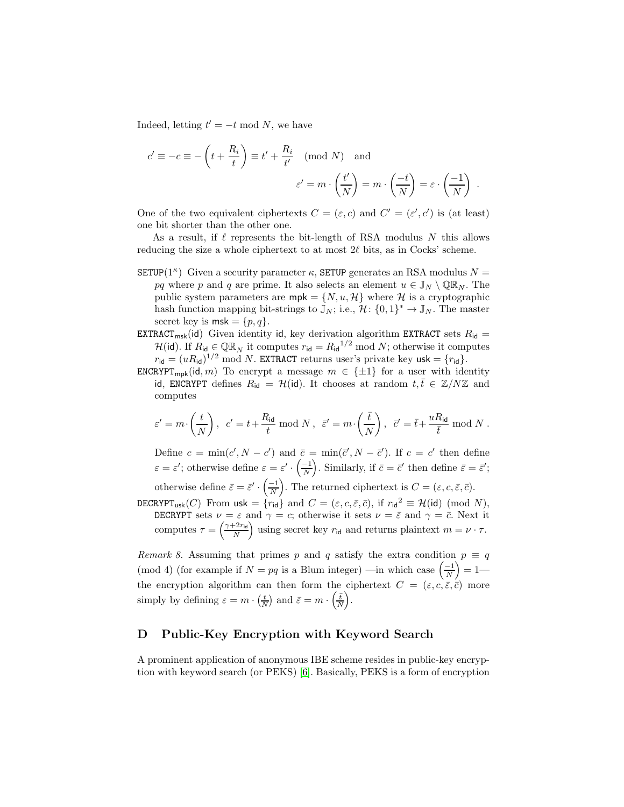Indeed, letting  $t' = -t \mod N$ , we have

$$
c' \equiv -c \equiv -\left(t + \frac{R_i}{t}\right) \equiv t' + \frac{R_i}{t'} \pmod{N} \text{ and}
$$

$$
\varepsilon' = m \cdot \left(\frac{t'}{N}\right) = m \cdot \left(\frac{-t}{N}\right) = \varepsilon \cdot \left(\frac{-1}{N}\right) .
$$

One of the two equivalent ciphertexts  $C = (\varepsilon, c)$  and  $C' = (\varepsilon', c')$  is (at least) one bit shorter than the other one.

As a result, if  $\ell$  represents the bit-length of RSA modulus N this allows reducing the size a whole ciphertext to at most  $2\ell$  bits, as in Cocks' scheme.

- SETUP( $1^{\kappa}$ ) Given a security parameter  $\kappa$ , SETUP generates an RSA modulus  $N =$ pq where p and q are prime. It also selects an element  $u \in \mathbb{J}_N \setminus \mathbb{Q}\mathbb{R}_N$ . The public system parameters are  $mpk = \{N, u, H\}$  where H is a cryptographic hash function mapping bit-strings to  $\mathbb{J}_N$ ; i.e.,  $\mathcal{H}$ :  $\{0,1\}^* \to \mathbb{J}_N$ . The master secret key is  $\mathsf{msk} = \{p, q\}.$
- EXTRACT<sub>msk</sub>(id) Given identity id, key derivation algorithm EXTRACT sets  $R_{id}$  =  $\mathcal{H}(\mathsf{id})$ . If  $R_{\mathsf{id}} \in \mathbb{Q}\mathbb{R}_N$  it computes  $r_{\mathsf{id}} = R_{\mathsf{id}}^{-1/2} \bmod N$ ; otherwise it computes  $r_{\mathsf{id}} = (uR_{\mathsf{id}})^{1/2} \bmod N$ . EXTRACT returns user's private key usk = { $r_{\mathsf{id}}$ }.
- ENCRYPT<sub>mpk</sub>(id, m) To encrypt a message  $m \in \{\pm 1\}$  for a user with identity id, ENCRYPT defines  $R_{\text{id}} = \mathcal{H}(\text{id})$ . It chooses at random  $t, \bar{t} \in \mathbb{Z}/N\mathbb{Z}$  and computes

$$
\varepsilon' = m\cdot \left(\frac{t}{N}\right), \;\; c'=t+\frac{R_{\mathsf{id}}}{t} \bmod N\,, \;\; \bar{\varepsilon}' = m\cdot \left(\frac{\bar{t}}{N}\right), \;\; \bar{c}' = \bar{t}+\frac{uR_{\mathsf{id}}}{\bar{t}} \bmod N\;.
$$

Define  $c = \min(c', N - c')$  and  $\bar{c} = \min(\bar{c}', N - \bar{c}')$ . If  $c = c'$  then define  $\varepsilon = \varepsilon'$ ; otherwise define  $\varepsilon = \varepsilon' \cdot \left(\frac{-1}{N}\right)$  $\frac{-1}{N}$ ). Similarly, if  $\bar{c} = \bar{c}'$  then define  $\bar{\varepsilon} = \bar{\varepsilon}'$ ;

otherwise define  $\bar{\varepsilon} = \bar{\varepsilon}' \cdot \left( \frac{-1}{N} \right)$  $\frac{-1}{N}$ . The returned ciphertext is  $C = (\varepsilon, c, \bar{\varepsilon}, \bar{c})$ .

DECRYPT<sub>usk</sub>(C) From usk =  $\{r_{\text{id}}\}$  and  $C = (\varepsilon, c, \bar{\varepsilon}, \bar{c})$ , if  $r_{\text{id}}^2 \equiv \mathcal{H}(\text{id}) \pmod{N}$ , DECRYPT sets  $\nu = \varepsilon$  and  $\gamma = c$ ; otherwise it sets  $\nu = \bar{\varepsilon}$  and  $\gamma = \bar{c}$ . Next it computes  $\tau = \left(\frac{\gamma + 2r_{\text{id}}}{N}\right)$  $\left(\frac{P^2 r_{\text{id}}}{N}\right)$  using secret key  $r_{\text{id}}$  and returns plaintext  $m = \nu \cdot \tau$ .

Remark 8. Assuming that primes p and q satisfy the extra condition  $p \equiv q$ (mod 4) (for example if  $N = pq$  is a Blum integer) —in which case  $\left(\frac{-1}{N}\right)$  $\frac{-1}{N}$  = 1the encryption algorithm can then form the ciphertext  $C = (\varepsilon, c, \bar{\varepsilon}, \bar{c})$  more simply by defining  $\varepsilon = m \cdot \left(\frac{t}{N}\right)$  and  $\bar{\varepsilon} = m \cdot \left(\frac{\bar{t}}{N}\right)$ .

# <span id="page-24-0"></span>D Public-Key Encryption with Keyword Search

A prominent application of anonymous IBE scheme resides in public-key encryption with keyword search (or PEKS) [\[6\]](#page-18-13). Basically, PEKS is a form of encryption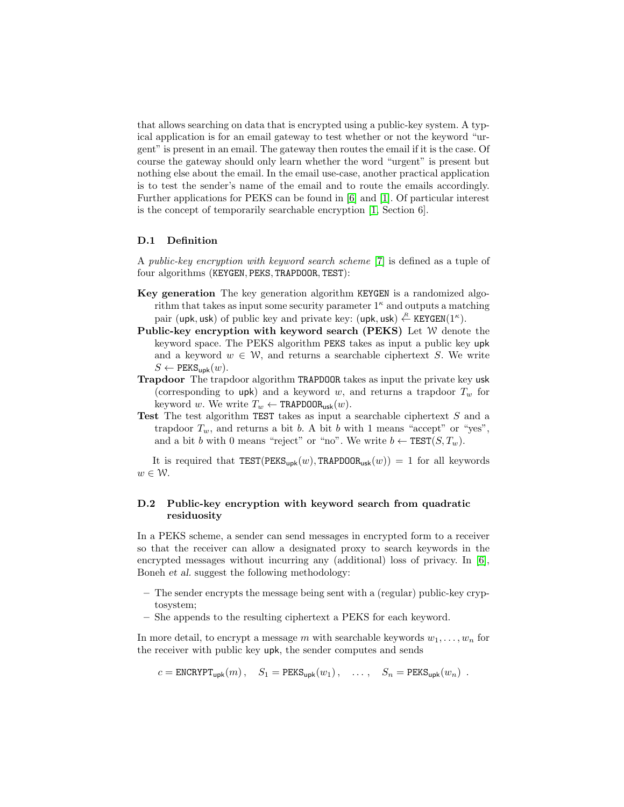that allows searching on data that is encrypted using a public-key system. A typical application is for an email gateway to test whether or not the keyword "urgent" is present in an email. The gateway then routes the email if it is the case. Of course the gateway should only learn whether the word "urgent" is present but nothing else about the email. In the email use-case, another practical application is to test the sender's name of the email and to route the emails accordingly. Further applications for PEKS can be found in [\[6\]](#page-18-13) and [\[1\]](#page-18-10). Of particular interest is the concept of temporarily searchable encryption [\[1,](#page-18-10) Section 6].

### D.1 Definition

A public-key encryption with keyword search scheme [\[7\]](#page-18-1) is defined as a tuple of four algorithms (KEYGEN, PEKS, TRAPDOOR, TEST):

- Key generation The key generation algorithm KEYGEN is a randomized algorithm that takes as input some security parameter  $1^{\kappa}$  and outputs a matching pair (upk, usk) of public key and private key: (upk, usk)  $\stackrel{R}{\leftarrow}$  KEYGEN(1<sup>k</sup>).
- Public-key encryption with keyword search (PEKS) Let W denote the keyword space. The PEKS algorithm PEKS takes as input a public key upk and a keyword  $w \in \mathcal{W}$ , and returns a searchable ciphertext S. We write  $S \leftarrow PERS_{\text{upk}}(w)$ .
- Trapdoor The trapdoor algorithm TRAPDOOR takes as input the private key usk (corresponding to upk) and a keyword w, and returns a trapdoor  $T_w$  for keyword w. We write  $T_w \leftarrow \texttt{TRAPDOOR}_{\text{usk}}(w)$ .
- Test The test algorithm TEST takes as input a searchable ciphertext S and a trapdoor  $T_w$ , and returns a bit b. A bit b with 1 means "accept" or "yes", and a bit b with 0 means "reject" or "no". We write  $b \leftarrow \text{TEST}(S, T_w)$ .

It is required that  $TEST(PEKS_{upk}(w), TRAPDOOR_{usk}(w)) = 1$  for all keywords  $w \in \mathcal{W}$ .

### D.2 Public-key encryption with keyword search from quadratic residuosity

In a PEKS scheme, a sender can send messages in encrypted form to a receiver so that the receiver can allow a designated proxy to search keywords in the encrypted messages without incurring any (additional) loss of privacy. In [\[6\]](#page-18-13), Boneh et al. suggest the following methodology:

- The sender encrypts the message being sent with a (regular) public-key cryptosystem;
- She appends to the resulting ciphertext a PEKS for each keyword.

In more detail, to encrypt a message m with searchable keywords  $w_1, \ldots, w_n$  for the receiver with public key upk, the sender computes and sends

$$
c = \text{ENCRYPT}_{upk}(m), \quad S_1 = \text{PEKS}_{upk}(w_1), \quad \dots, \quad S_n = \text{PEKS}_{upk}(w_n) .
$$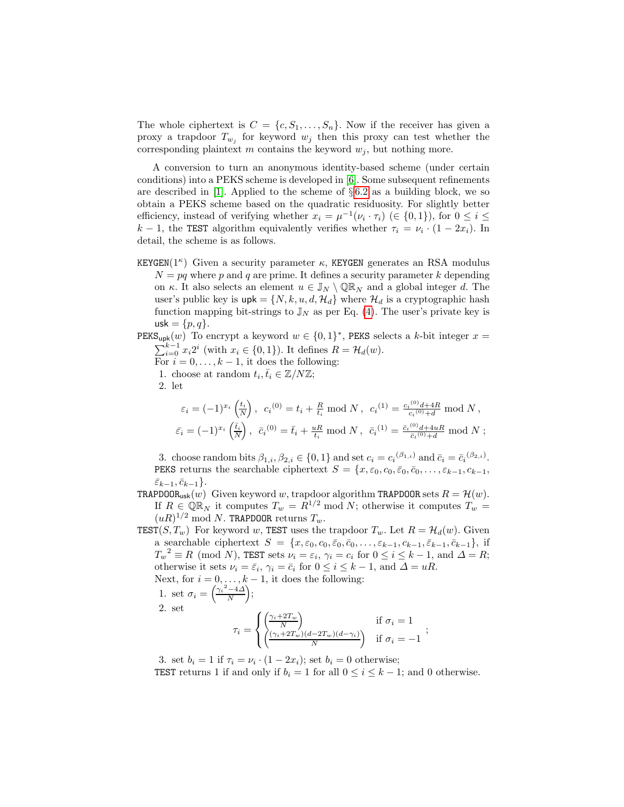The whole ciphertext is  $C = \{c, S_1, \ldots, S_n\}$ . Now if the receiver has given a proxy a trapdoor  $T_{w_j}$  for keyword  $w_j$  then this proxy can test whether the corresponding plaintext m contains the keyword  $w_i$ , but nothing more.

A conversion to turn an anonymous identity-based scheme (under certain conditions) into a PEKS scheme is developed in [\[6\]](#page-18-13). Some subsequent refinements are described in [\[1\]](#page-18-10). Applied to the scheme of  $\S 6.2$  $\S 6.2$  as a building block, we so obtain a PEKS scheme based on the quadratic residuosity. For slightly better efficiency, instead of verifying whether  $x_i = \mu^{-1}(\nu_i \cdot \tau_i)$  ( $\in \{0,1\}$ ), for  $0 \le i \le$  $k-1$ , the TEST algorithm equivalently verifies whether  $\tau_i = \nu_i \cdot (1 - 2x_i)$ . In detail, the scheme is as follows.

KEYGEN( $1^{\kappa}$ ) Given a security parameter  $\kappa$ , KEYGEN generates an RSA modulus  $N = pq$  where p and q are prime. It defines a security parameter k depending on  $\kappa$ . It also selects an element  $u \in \mathbb{J}_N \setminus \mathbb{QR}_N$  and a global integer d. The user's public key is  $upk = \{N, k, u, d, H_d\}$  where  $H_d$  is a cryptographic hash function mapping bit-strings to  $\mathbb{J}_N$  as per Eq. [\(4\)](#page-15-0). The user's private key is  $usk = {p, q}.$ 

PEKS<sub>upk</sub> $(w)$  To encrypt a keyword  $w \in \{0,1\}^*$ , PEKS selects a k-bit integer  $x =$  $\sum_{i=0}^{k-1} x_i 2^i$  (with  $x_i \in \{0, 1\}$ ). It defines  $R = \mathcal{H}_d(w)$ .

- For  $i = 0, \ldots, k 1$ , it does the following:
- 1. choose at random  $t_i, \bar{t}_i \in \mathbb{Z}/N\mathbb{Z}$ ;

2. let

$$
\varepsilon_{i} = (-1)^{x_{i}} \left( \frac{t_{i}}{N} \right), \ c_{i}^{(0)} = t_{i} + \frac{R}{t_{i}} \bmod N, \ c_{i}^{(1)} = \frac{c_{i}^{(0)} d + 4R}{c_{i}^{(0)} + d} \bmod N,
$$
  

$$
\bar{\varepsilon}_{i} = (-1)^{x_{i}} \left( \frac{\bar{t}_{i}}{N} \right), \ \bar{c}_{i}^{(0)} = \bar{t}_{i} + \frac{uR}{\bar{t}_{i}} \bmod N, \ \bar{c}_{i}^{(1)} = \frac{\bar{c}_{i}^{(0)} d + 4uR}{\bar{c}_{i}^{(0)} + d} \bmod N;
$$

3. choose random bits  $\beta_{1,i}, \beta_{2,i} \in \{0,1\}$  and set  $c_i = c_i^{(\beta_{1,i})}$  and  $\bar{c}_i = \bar{c}_i^{(\beta_{2,i})}$ . PEKS returns the searchable ciphertext  $S = \{x, \varepsilon_0, c_0, \bar{\varepsilon}_0, \bar{c}_0, \ldots, \varepsilon_{k-1}, c_{k-1},$  $\bar{\varepsilon}_{k-1}, \bar{c}_{k-1}\}.$ 

**TRAPDOOR**<sub>usk</sub> $(w)$  Given keyword w, trapdoor algorithm **TRAPDOOR** sets  $R = \mathcal{H}(w)$ . If  $R \in \mathbb{QR}_N$  it computes  $T_w = R^{1/2} \text{ mod } N$ ; otherwise it computes  $T_w =$  $(uR)^{1/2}$  mod N. TRAPDOOR returns  $T_w$ .

TEST(S,  $T_w$ ) For keyword w, TEST uses the trapdoor  $T_w$ . Let  $R = H_d(w)$ . Given a searchable ciphertext  $S = \{x, \varepsilon_0, c_0, \overline{\varepsilon}_0, \overline{c}_0, \ldots, \varepsilon_{k-1}, c_{k-1}, \overline{c}_{k-1}, \overline{c}_{k-1}\}\,$  if  $T_w^2 \equiv R \pmod{N}$ , TEST sets  $\nu_i = \varepsilon_i$ ,  $\gamma_i = c_i$  for  $0 \le i \le k-1$ , and  $\Delta = R$ ; otherwise it sets  $\nu_i = \bar{\varepsilon}_i$ ,  $\gamma_i = \bar{c}_i$  for  $0 \le i \le k-1$ , and  $\Delta = uR$ . Next, for  $i = 0, \ldots, k - 1$ , it does the following:

1. set  $\sigma_i = \left(\frac{{\gamma_i}^2 - 4\Delta}{N}\right)$  $\frac{-4\Delta}{N}\Big);$ 

2. set

$$
\tau_i = \begin{cases} \left(\frac{\gamma_i + 2T_w}{N}\right) & \text{if } \sigma_i = 1\\ \left(\frac{(\gamma_i + 2T_w)(d - 2T_w)(d - \gamma_i)}{N}\right) & \text{if } \sigma_i = -1 \end{cases};
$$

3. set  $b_i = 1$  if  $\tau_i = \nu_i \cdot (1 - 2x_i)$ ; set  $b_i = 0$  otherwise;

TEST returns 1 if and only if  $b_i = 1$  for all  $0 \le i \le k - 1$ ; and 0 otherwise.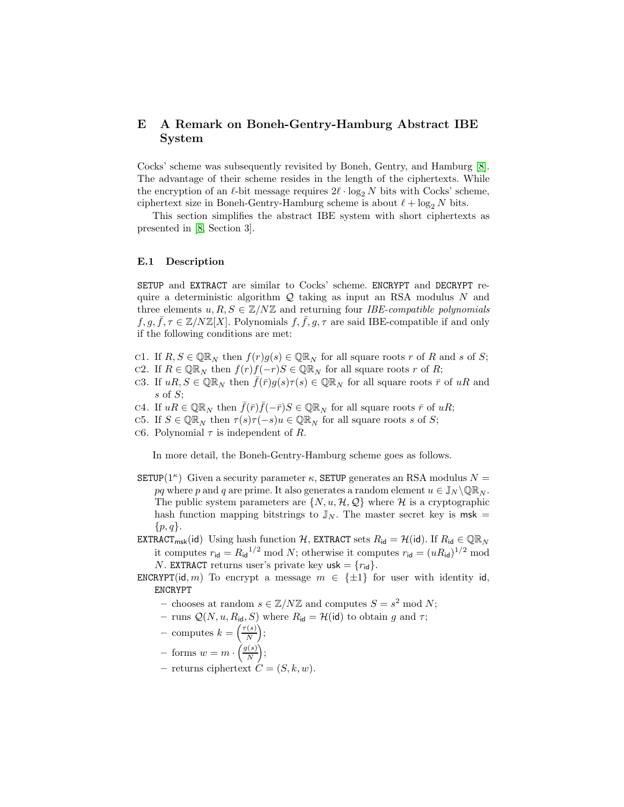# <span id="page-27-0"></span>E A Remark on Boneh-Gentry-Hamburg Abstract IBE System

Cocks' scheme was subsequently revisited by Boneh, Gentry, and Hamburg [\[8\]](#page-18-4). The advantage of their scheme resides in the length of the ciphertexts. While the encryption of an  $\ell$ -bit message requires  $2\ell \cdot \log_2 N$  bits with Cocks' scheme, ciphertext size in Boneh-Gentry-Hamburg scheme is about  $\ell + \log_2 N$  bits.

This section simplifies the abstract IBE system with short ciphertexts as presented in [\[8,](#page-18-4) Section 3].

### E.1 Description

SETUP and EXTRACT are similar to Cocks' scheme. ENCRYPT and DECRYPT require a deterministic algorithm  $Q$  taking as input an RSA modulus  $N$  and three elements  $u, R, S \in \mathbb{Z}/N\mathbb{Z}$  and returning four *IBE-compatible polynomials*  $f, g, \overline{f}, \tau \in \mathbb{Z}/N\mathbb{Z}[X]$ . Polynomials  $f, \overline{f}, g, \tau$  are said IBE-compatible if and only if the following conditions are met:

- c1. If  $R, S \in \mathbb{Q}\mathbb{R}_N$  then  $f(r)g(s) \in \mathbb{Q}\mathbb{R}_N$  for all square roots r of R and s of S;
- c2. If  $R \in \mathbb{Q}\mathbb{R}_N$  then  $f(r)f(-r)S \in \mathbb{Q}\mathbb{R}_N$  for all square roots r of R;
- c3. If  $uR, S \in \mathbb{Q}\mathbb{R}_N$  then  $\bar{f}(\bar{r})g(s)\tau(s) \in \mathbb{Q}\mathbb{R}_N$  for all square roots  $\bar{r}$  of  $uR$  and s of S;
- c4. If  $uR \in \mathbb{Q}\mathbb{R}_N$  then  $\bar{f}(\bar{r})\bar{f}(-\bar{r})S \in \mathbb{Q}\mathbb{R}_N$  for all square roots  $\bar{r}$  of  $uR$ ;
- c5. If  $S \in \mathbb{Q}\mathbb{R}_N$  then  $\tau(s)\tau(-s)u \in \mathbb{Q}\mathbb{R}_N$  for all square roots s of S;
- c6. Polynomial  $\tau$  is independent of R.

In more detail, the Boneh-Gentry-Hamburg scheme goes as follows.

- SETUP( $1^{\kappa}$ ) Given a security parameter  $\kappa$ , SETUP generates an RSA modulus  $N =$ pq where p and q are prime. It also generates a random element  $u \in \mathbb{J}_N \backslash \mathbb{Q} \mathbb{R}_N$ . The public system parameters are  $\{N, u, \mathcal{H}, \mathcal{Q}\}\$  where  $\mathcal H$  is a cryptographic hash function mapping bitstrings to  $\mathbb{J}_N$ . The master secret key is msk =  $\{p,q\}.$
- EXTRACT<sub>msk</sub>(id) Using hash function H, EXTRACT sets  $R_{id} = H(id)$ . If  $R_{id} \in \mathbb{Q} \mathbb{R}_N$ it computes  $r_{\mathsf{id}} = R_{\mathsf{id}}^{1/2} \text{ mod } N$ ; otherwise it computes  $r_{\mathsf{id}} = (uR_{\mathsf{id}})^{1/2} \text{ mod } N$ N. EXTRACT returns user's private key usk =  $\{r_{\text{id}}\}.$
- ENCRYPT(id, m) To encrypt a message  $m \in {\pm 1}$  for user with identity id, ENCRYPT
	- chooses at random  $s \in \mathbb{Z}/N\mathbb{Z}$  and computes  $S = s^2 \mod N$ ;
	- runs  $Q(N, u, R_{\text{id}}, S)$  where  $R_{\text{id}} = H(\text{id})$  to obtain g and  $\tau$ ;
	- computes  $k = \left(\frac{\tau(s)}{N}\right)$  $\frac{f(s)}{N};$
	- forms  $w = m \cdot \left(\frac{g(s)}{N}\right)$  $\frac{f(s)}{N};$
	- returns ciphertext  $C = (S, k, w)$ .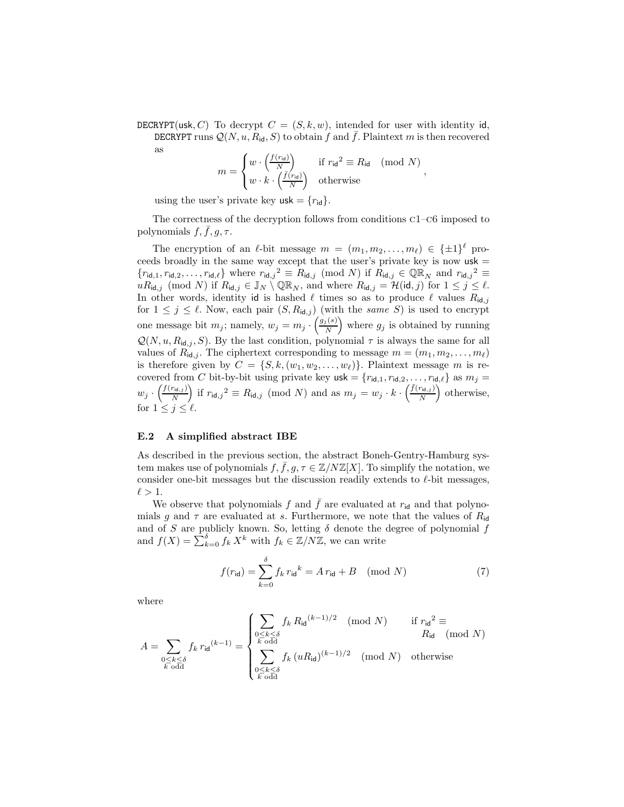DECRYPT(usk, C) To decrypt  $C = (S, k, w)$ , intended for user with identity id, DECRYPT runs  $\mathcal{Q}(N, u, R_{id}, S)$  to obtain f and f. Plaintext m is then recovered as

$$
m = \begin{cases} w \cdot \left(\frac{f(r_{\text{id}})}{N}\right) & \text{if } r_{\text{id}}^2 \equiv R_{\text{id}} \pmod{N} \\ w \cdot k \cdot \left(\frac{\bar{f}(r_{\text{id}})}{N}\right) & \text{otherwise} \end{cases}
$$

using the user's private key  $\mathsf{usk} = \{r_{\mathsf{id}}\}.$ 

The correctness of the decryption follows from conditions c1–c6 imposed to polynomials  $f, \overline{f}, g, \tau$ .

The encryption of an  $\ell$ -bit message  $m = (m_1, m_2, \ldots, m_\ell) \in {\{\pm 1\}}^\ell$  proceeds broadly in the same way except that the user's private key is now usk =  ${r_{\mathsf{id},1}, r_{\mathsf{id},2}, \ldots, r_{\mathsf{id},\ell}}$  where  $r_{\mathsf{id},j}^2 \equiv R_{\mathsf{id},j} \pmod{N}$  if  $R_{\mathsf{id},j} \in \mathbb{QR}_N$  and  $r_{\mathsf{id},j}^2 \equiv$  $uR_{\mathsf{id},j} \pmod{N}$  if  $R_{\mathsf{id},j} \in \mathbb{J}_N \setminus \mathbb{QR}_N$ , and where  $R_{\mathsf{id},j} = \mathcal{H}(\mathsf{id},j)$  for  $1 \leq j \leq \ell$ . In other words, identity id is hashed  $\ell$  times so as to produce  $\ell$  values  $R_{id,j}$ for  $1 \leq j \leq \ell$ . Now, each pair  $(S, R_{\mathsf{id},j})$  (with the same S) is used to encrypt one message bit  $m_j$ ; namely,  $w_j = m_j \cdot \left(\frac{g_j(s)}{N}\right)$  $\frac{g_j(s)}{N}$  where  $g_j$  is obtained by running  $\mathcal{Q}(N, u, R_{\text{id},j}, S)$ . By the last condition, polynomial  $\tau$  is always the same for all values of  $R_{\mathsf{id},j}$ . The ciphertext corresponding to message  $m = (m_1, m_2, \ldots, m_\ell)$ is therefore given by  $C = \{S, k, (w_1, w_2, \dots, w_\ell)\}\.$  Plaintext message m is recovered from C bit-by-bit using private key usk =  ${r_{\text{id},1}, r_{\text{id},2}, \ldots, r_{\text{id},\ell}}$  as  $m_j =$  $w_j \cdot \left(\frac{f(r_{\mathsf{id},j})}{N}\right)$  $\left(\frac{r_{\mathsf{id},j}}{N}\right)$  if  $r_{\mathsf{id},j}{}^2 \equiv R_{\mathsf{id},j} \pmod{N}$  and as  $m_j = w_j \cdot k \cdot \left(\frac{\bar{f}(r_{\mathsf{id},j})}{N}\right)$  $\binom{r_{\text{id},j}}{N}$  otherwise, for  $1 \leq j \leq \ell$ .

### E.2 A simplified abstract IBE

As described in the previous section, the abstract Boneh-Gentry-Hamburg system makes use of polynomials  $f, \overline{f}, g, \tau \in \mathbb{Z}/N\mathbb{Z}[X]$ . To simplify the notation, we consider one-bit messages but the discussion readily extends to  $\ell$ -bit messages,  $\ell > 1$ .

We observe that polynomials f and  $\bar{f}$  are evaluated at  $r_{\text{id}}$  and that polynomials g and  $\tau$  are evaluated at s. Furthermore, we note that the values of  $R_{\rm id}$ and of S are publicly known. So, letting  $\delta$  denote the degree of polynomial f and  $f(X) = \sum_{k=0}^{5} f_k X^k$  with  $f_k \in \mathbb{Z}/N\mathbb{Z}$ , we can write

$$
f(r_{\mathsf{id}}) = \sum_{k=0}^{\delta} f_k r_{\mathsf{id}}^k = A r_{\mathsf{id}} + B \pmod{N} \tag{7}
$$

where

$$
A = \sum_{\substack{0 \le k \le \delta \\ k \text{ odd}}} f_k r_{\mathsf{id}}^{(k-1)} = \begin{cases} \sum_{\substack{0 \le k \le \delta \\ k \text{ odd}}} f_k R_{\mathsf{id}}^{(k-1)/2} \pmod{N} & \text{if } r_{\mathsf{id}}^2 \equiv \\ \sum_{\substack{0 \le k \le \delta \\ k \text{ odd}}} f_k (u R_{\mathsf{id}})^{(k-1)/2} \pmod{N} & \text{otherwise} \end{cases}
$$